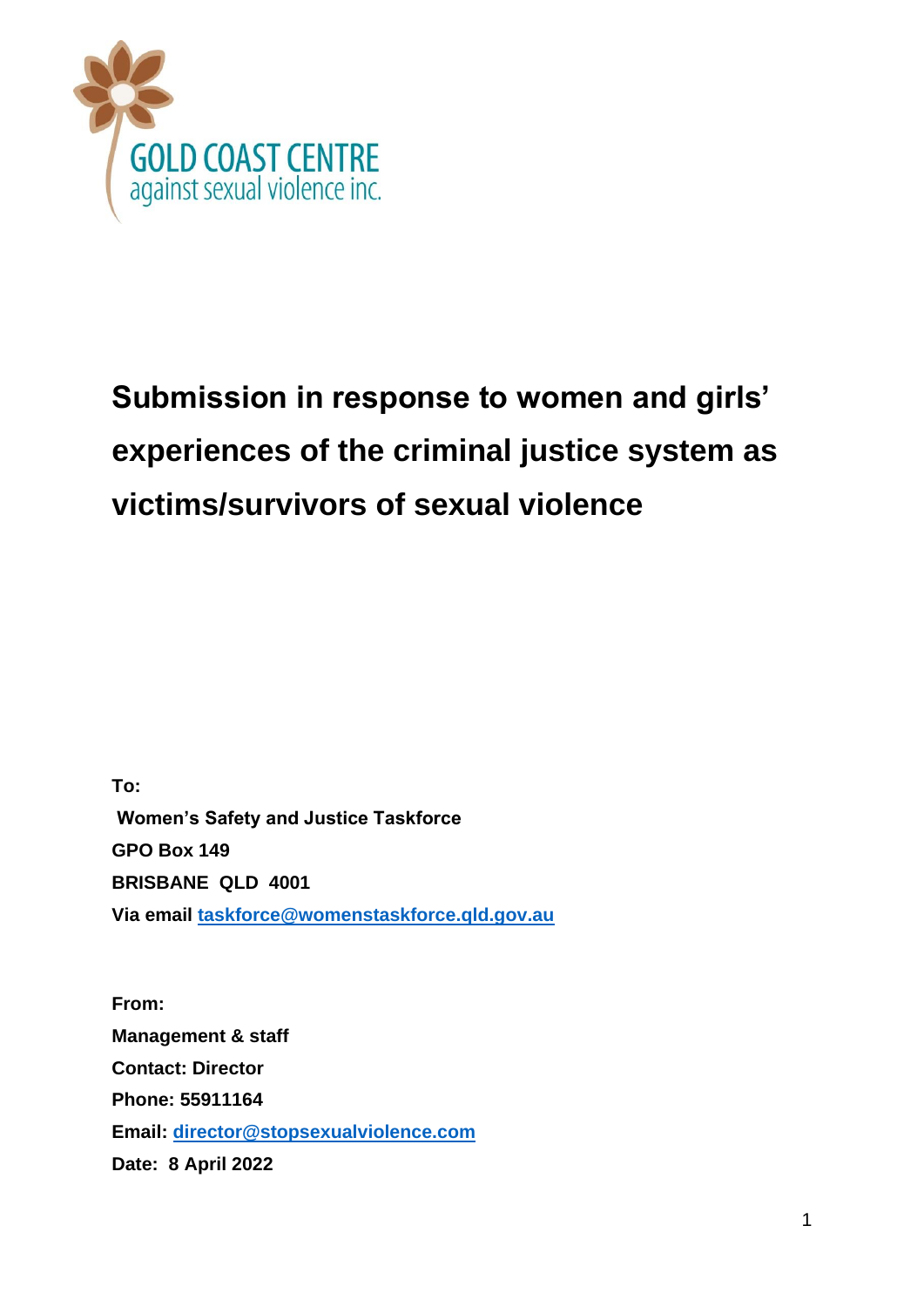

# **Submission in response to women and girls' experiences of the criminal justice system as victims/survivors of sexual violence**

**To: Women's Safety and Justice Taskforce GPO Box 149 BRISBANE QLD 4001 Via email taskforce@womenstaskforce.qld.gov.au**

**From: Management & staff Contact: Director Phone: 55911164 Email: director@stopsexualviolence.com Date: 8 April 2022**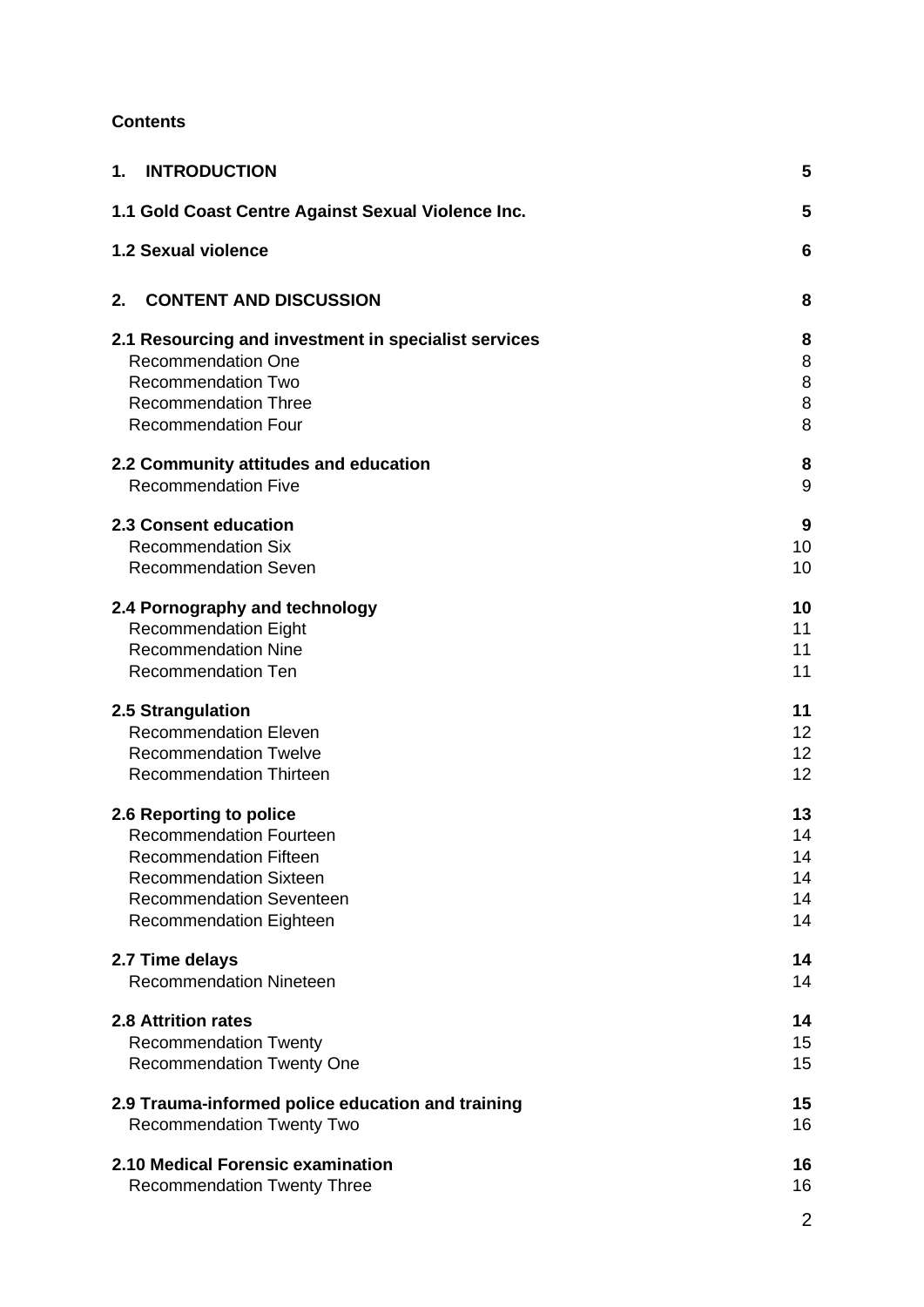# **Contents**

| <b>INTRODUCTION</b><br>1.                            | 5               |
|------------------------------------------------------|-----------------|
| 1.1 Gold Coast Centre Against Sexual Violence Inc.   | 5               |
| 1.2 Sexual violence                                  | 6               |
| <b>CONTENT AND DISCUSSION</b><br>2.                  | 8               |
| 2.1 Resourcing and investment in specialist services | 8               |
| <b>Recommendation One</b>                            | 8               |
| <b>Recommendation Two</b>                            | 8               |
| <b>Recommendation Three</b>                          | 8               |
| <b>Recommendation Four</b>                           | 8               |
| 2.2 Community attitudes and education                | 8               |
| <b>Recommendation Five</b>                           | 9               |
| 2.3 Consent education                                | 9               |
| <b>Recommendation Six</b>                            | 10              |
| <b>Recommendation Seven</b>                          | 10              |
| 2.4 Pornography and technology                       | 10              |
| <b>Recommendation Eight</b>                          | 11              |
| <b>Recommendation Nine</b>                           | 11              |
| <b>Recommendation Ten</b>                            | 11              |
| 2.5 Strangulation                                    | 11              |
| <b>Recommendation Eleven</b>                         | 12 <sup>2</sup> |
| <b>Recommendation Twelve</b>                         | 12 <sup>2</sup> |
| <b>Recommendation Thirteen</b>                       | 12              |
| 2.6 Reporting to police                              | 13              |
| <b>Recommendation Fourteen</b>                       | 14              |
| <b>Recommendation Fifteen</b>                        | 14              |
| <b>Recommendation Sixteen</b>                        | 14              |
| <b>Recommendation Seventeen</b>                      | 14              |
| <b>Recommendation Eighteen</b>                       | 14              |
| 2.7 Time delays                                      | 14              |
| <b>Recommendation Nineteen</b>                       | 14              |
| <b>2.8 Attrition rates</b>                           | 14              |
| <b>Recommendation Twenty</b>                         | 15              |
| <b>Recommendation Twenty One</b>                     | 15              |
| 2.9 Trauma-informed police education and training    | 15              |
| <b>Recommendation Twenty Two</b>                     | 16              |
| 2.10 Medical Forensic examination                    | 16              |
| <b>Recommendation Twenty Three</b>                   | 16              |
|                                                      | 2               |
|                                                      |                 |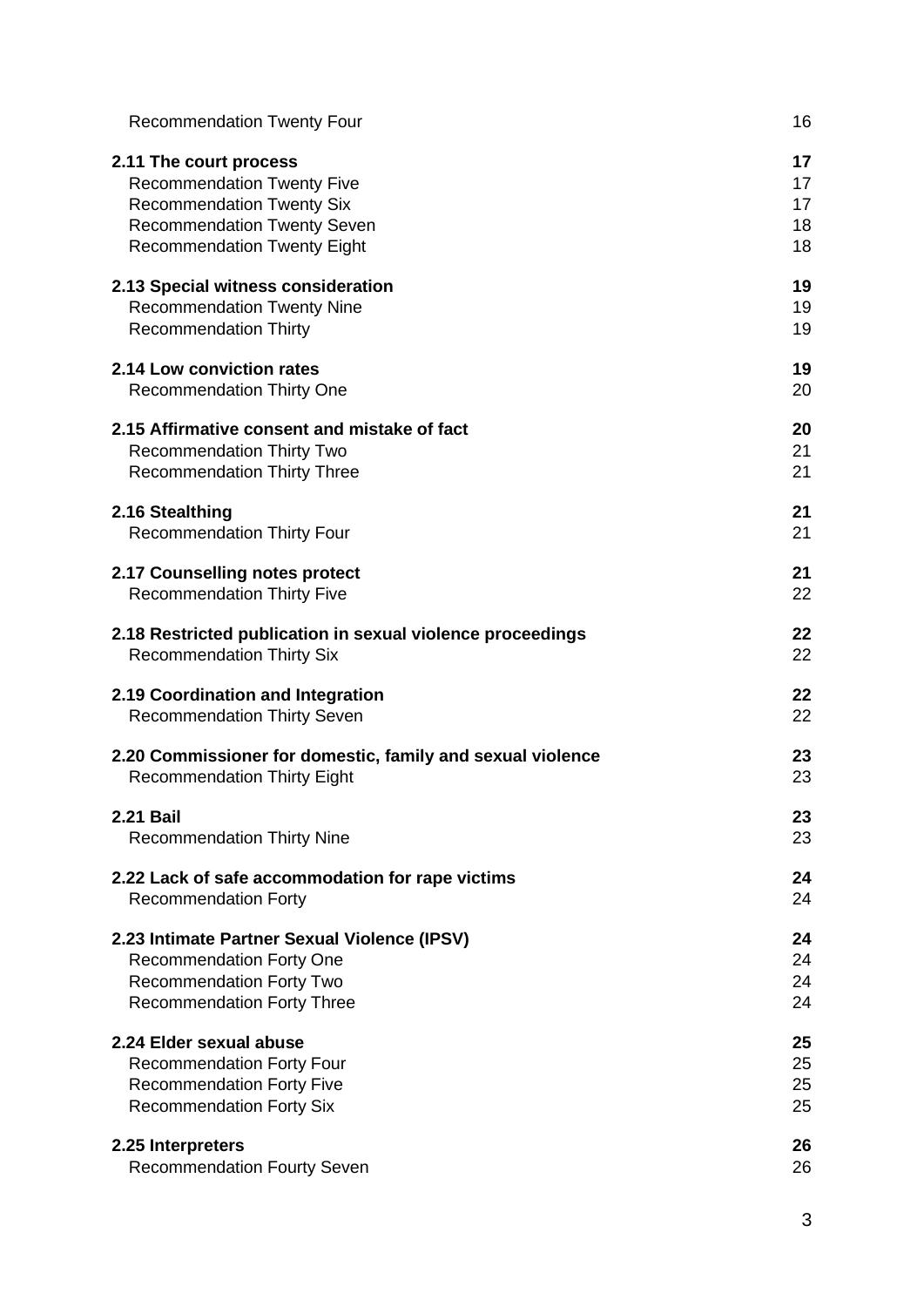| <b>Recommendation Twenty Four</b>                          | 16 |
|------------------------------------------------------------|----|
| 2.11 The court process                                     | 17 |
| <b>Recommendation Twenty Five</b>                          | 17 |
| <b>Recommendation Twenty Six</b>                           | 17 |
| <b>Recommendation Twenty Seven</b>                         | 18 |
| <b>Recommendation Twenty Eight</b>                         | 18 |
| 2.13 Special witness consideration                         | 19 |
| <b>Recommendation Twenty Nine</b>                          | 19 |
| <b>Recommendation Thirty</b>                               | 19 |
| 2.14 Low conviction rates                                  | 19 |
| <b>Recommendation Thirty One</b>                           | 20 |
| 2.15 Affirmative consent and mistake of fact               | 20 |
| <b>Recommendation Thirty Two</b>                           | 21 |
| <b>Recommendation Thirty Three</b>                         | 21 |
| 2.16 Stealthing                                            | 21 |
| <b>Recommendation Thirty Four</b>                          | 21 |
| 2.17 Counselling notes protect                             | 21 |
| <b>Recommendation Thirty Five</b>                          | 22 |
| 2.18 Restricted publication in sexual violence proceedings | 22 |
| <b>Recommendation Thirty Six</b>                           | 22 |
| 2.19 Coordination and Integration                          | 22 |
| <b>Recommendation Thirty Seven</b>                         | 22 |
| 2.20 Commissioner for domestic, family and sexual violence | 23 |
| <b>Recommendation Thirty Eight</b>                         | 23 |
| <b>2.21 Bail</b>                                           | 23 |
| <b>Recommendation Thirty Nine</b>                          | 23 |
| 2.22 Lack of safe accommodation for rape victims           | 24 |
| <b>Recommendation Forty</b>                                | 24 |
| 2.23 Intimate Partner Sexual Violence (IPSV)               | 24 |
| <b>Recommendation Forty One</b>                            | 24 |
| <b>Recommendation Forty Two</b>                            | 24 |
| <b>Recommendation Forty Three</b>                          | 24 |
| 2.24 Elder sexual abuse                                    | 25 |
| <b>Recommendation Forty Four</b>                           | 25 |
| <b>Recommendation Forty Five</b>                           | 25 |
| <b>Recommendation Forty Six</b>                            | 25 |
| 2.25 Interpreters                                          | 26 |
| <b>Recommendation Fourty Seven</b>                         | 26 |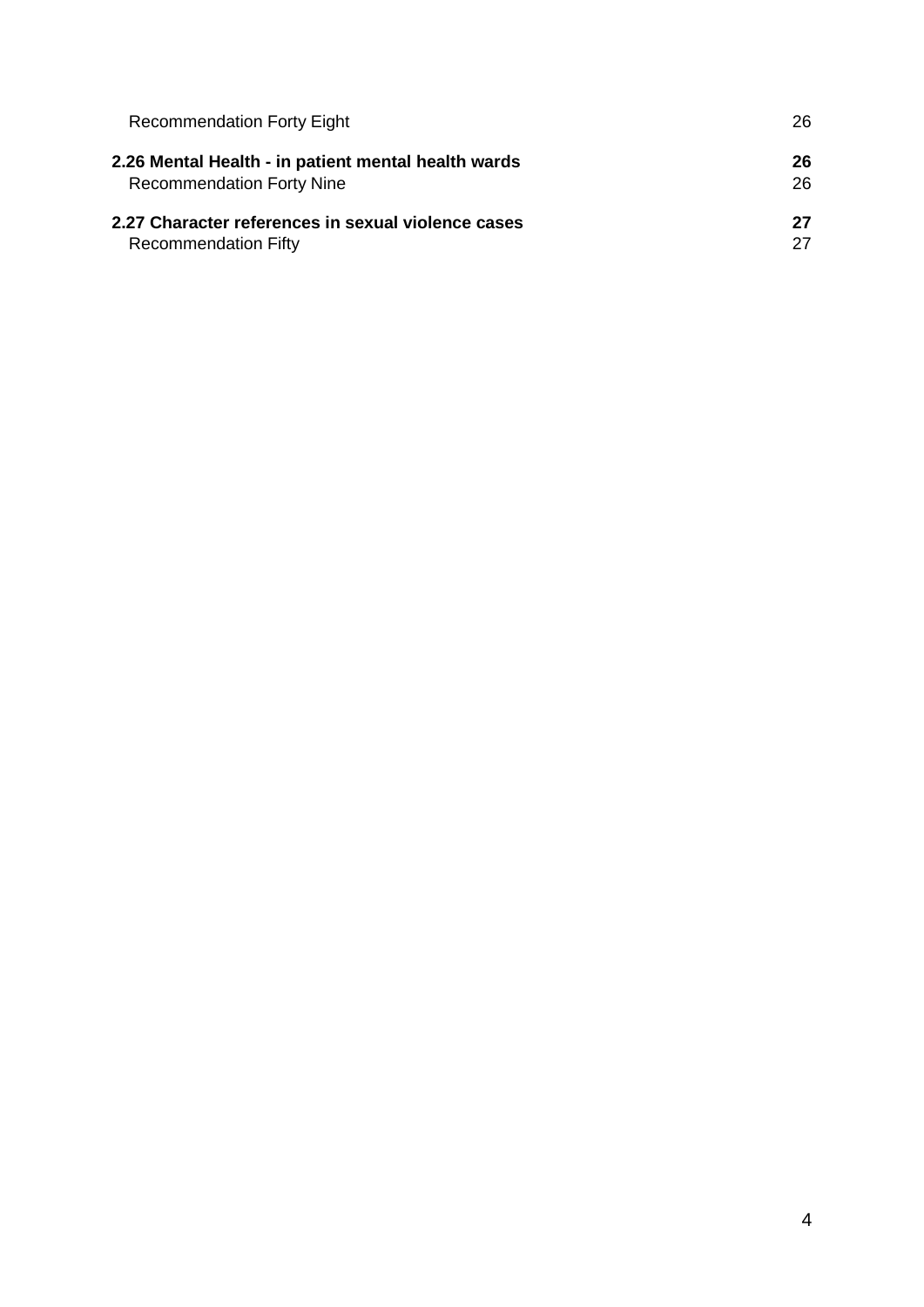| <b>Recommendation Forty Eight</b>                   | 26 |
|-----------------------------------------------------|----|
| 2.26 Mental Health - in patient mental health wards | 26 |
| <b>Recommendation Forty Nine</b>                    | 26 |
| 2.27 Character references in sexual violence cases  | 27 |
| <b>Recommendation Fifty</b>                         | 27 |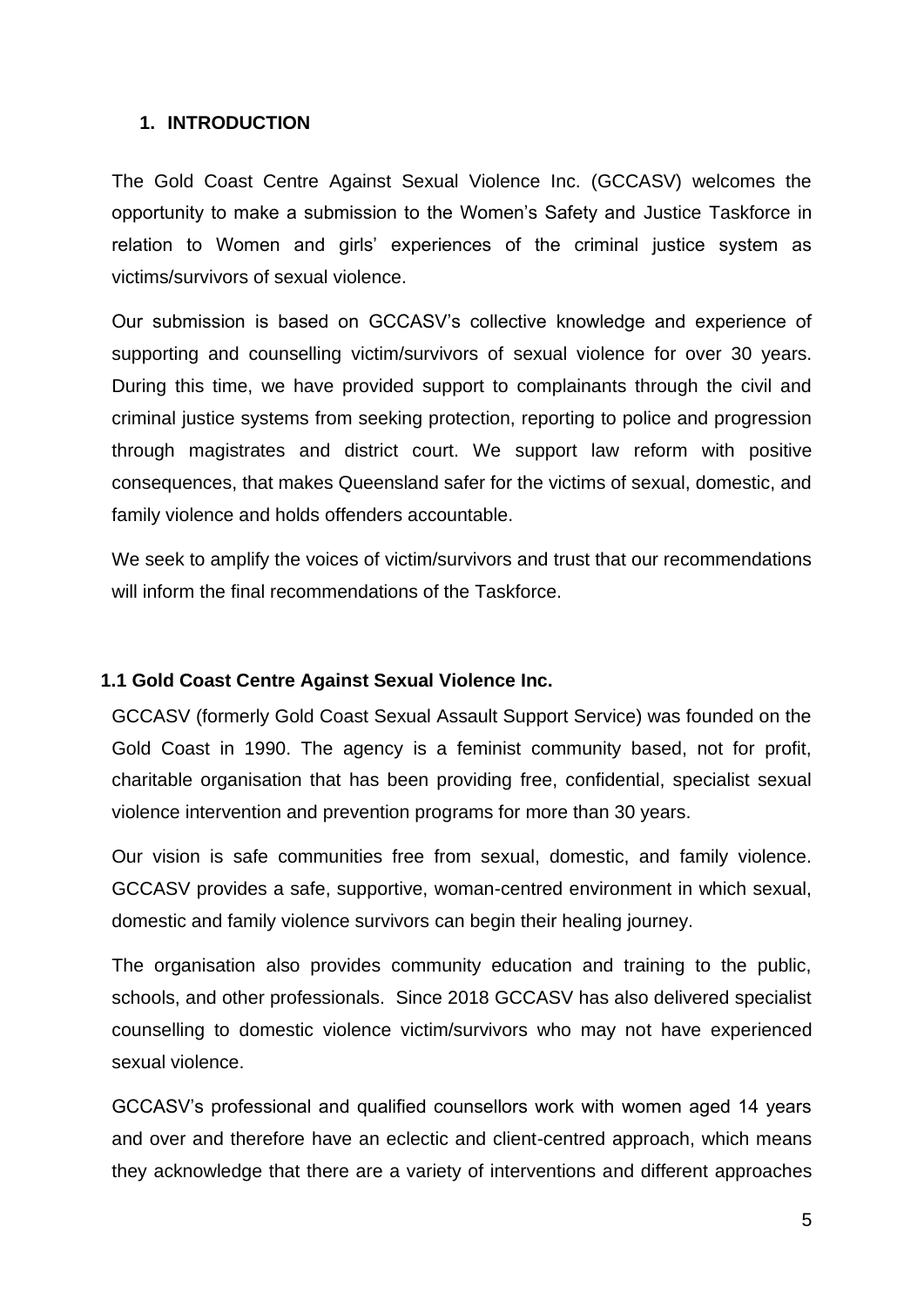# **1. INTRODUCTION**

The Gold Coast Centre Against Sexual Violence Inc. (GCCASV) welcomes the opportunity to make a submission to the Women's Safety and Justice Taskforce in relation to Women and girls' experiences of the criminal justice system as victims/survivors of sexual violence.

Our submission is based on GCCASV's collective knowledge and experience of supporting and counselling victim/survivors of sexual violence for over 30 years. During this time, we have provided support to complainants through the civil and criminal justice systems from seeking protection, reporting to police and progression through magistrates and district court. We support law reform with positive consequences, that makes Queensland safer for the victims of sexual, domestic, and family violence and holds offenders accountable.

We seek to amplify the voices of victim/survivors and trust that our recommendations will inform the final recommendations of the Taskforce.

## **1.1 Gold Coast Centre Against Sexual Violence Inc.**

GCCASV (formerly Gold Coast Sexual Assault Support Service) was founded on the Gold Coast in 1990. The agency is a feminist community based, not for profit, charitable organisation that has been providing free, confidential, specialist sexual violence intervention and prevention programs for more than 30 years.

Our vision is safe communities free from sexual, domestic, and family violence. GCCASV provides a safe, supportive, woman-centred environment in which sexual, domestic and family violence survivors can begin their healing journey.

The organisation also provides community education and training to the public, schools, and other professionals. Since 2018 GCCASV has also delivered specialist counselling to domestic violence victim/survivors who may not have experienced sexual violence.

GCCASV's professional and qualified counsellors work with women aged 14 years and over and therefore have an eclectic and client-centred approach, which means they acknowledge that there are a variety of interventions and different approaches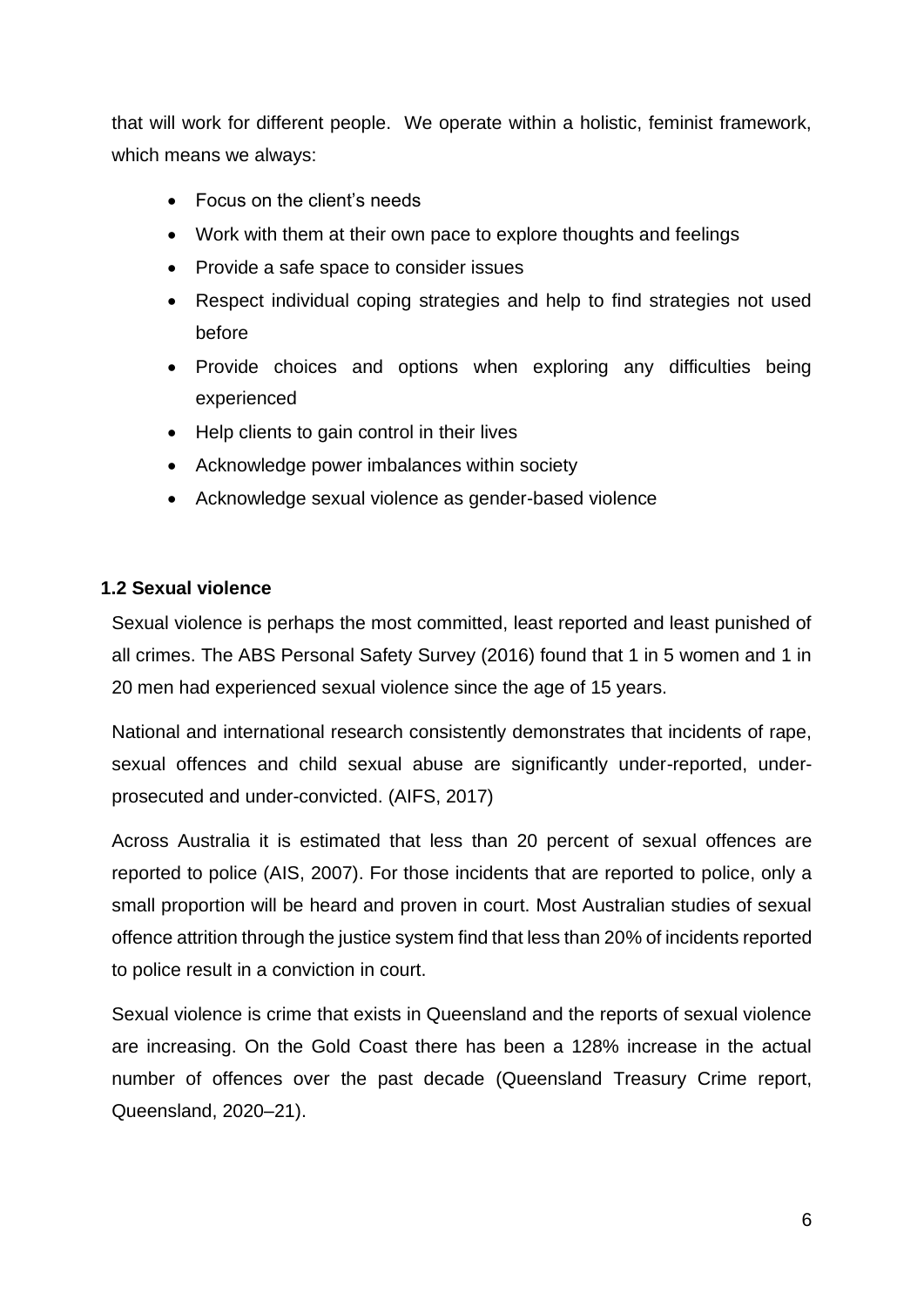that will work for different people. We operate within a holistic, feminist framework, which means we always:

- Focus on the client's needs
- Work with them at their own pace to explore thoughts and feelings
- Provide a safe space to consider issues
- Respect individual coping strategies and help to find strategies not used before
- Provide choices and options when exploring any difficulties being experienced
- Help clients to gain control in their lives
- Acknowledge power imbalances within society
- Acknowledge sexual violence as gender-based violence

# **1.2 Sexual violence**

Sexual violence is perhaps the most committed, least reported and least punished of all crimes. The ABS Personal Safety Survey (2016) found that 1 in 5 women and 1 in 20 men had experienced sexual violence since the age of 15 years.

National and international research consistently demonstrates that incidents of rape, sexual offences and child sexual abuse are significantly under-reported, underprosecuted and under-convicted. (AIFS, 2017)

Across Australia it is estimated that less than 20 percent of sexual offences are reported to police (AIS, 2007). For those incidents that are reported to police, only a small proportion will be heard and proven in court. Most Australian studies of sexual offence attrition through the justice system find that less than 20% of incidents reported to police result in a conviction in court.

Sexual violence is crime that exists in Queensland and the reports of sexual violence are increasing. On the Gold Coast there has been a 128% increase in the actual number of offences over the past decade (Queensland Treasury Crime report, Queensland, 2020–21).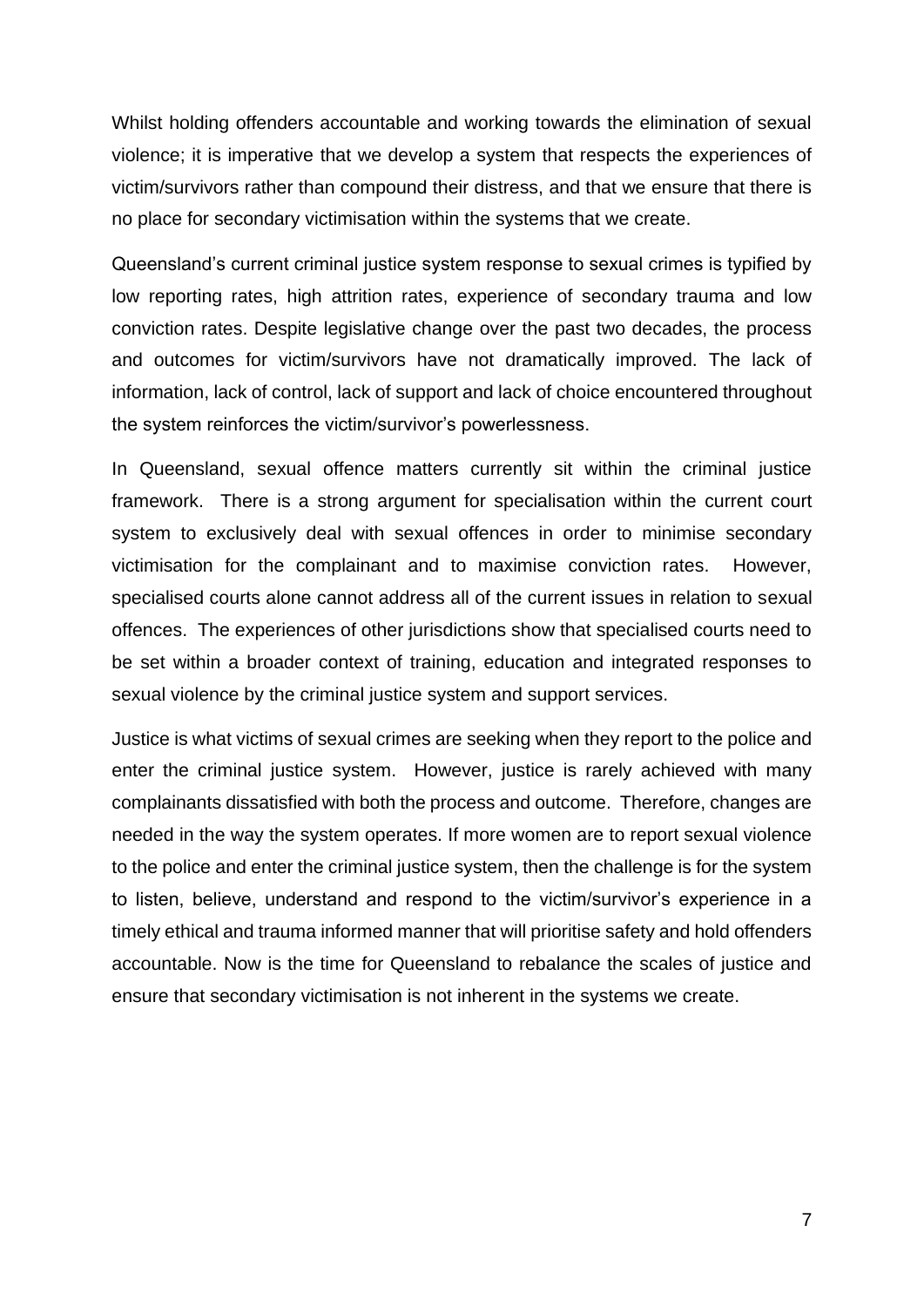Whilst holding offenders accountable and working towards the elimination of sexual violence; it is imperative that we develop a system that respects the experiences of victim/survivors rather than compound their distress, and that we ensure that there is no place for secondary victimisation within the systems that we create.

Queensland's current criminal justice system response to sexual crimes is typified by low reporting rates, high attrition rates, experience of secondary trauma and low conviction rates. Despite legislative change over the past two decades, the process and outcomes for victim/survivors have not dramatically improved. The lack of information, lack of control, lack of support and lack of choice encountered throughout the system reinforces the victim/survivor's powerlessness.

In Queensland, sexual offence matters currently sit within the criminal justice framework. There is a strong argument for specialisation within the current court system to exclusively deal with sexual offences in order to minimise secondary victimisation for the complainant and to maximise conviction rates. However, specialised courts alone cannot address all of the current issues in relation to sexual offences. The experiences of other jurisdictions show that specialised courts need to be set within a broader context of training, education and integrated responses to sexual violence by the criminal justice system and support services.

Justice is what victims of sexual crimes are seeking when they report to the police and enter the criminal justice system. However, justice is rarely achieved with many complainants dissatisfied with both the process and outcome. Therefore, changes are needed in the way the system operates. If more women are to report sexual violence to the police and enter the criminal justice system, then the challenge is for the system to listen, believe, understand and respond to the victim/survivor's experience in a timely ethical and trauma informed manner that will prioritise safety and hold offenders accountable. Now is the time for Queensland to rebalance the scales of justice and ensure that secondary victimisation is not inherent in the systems we create.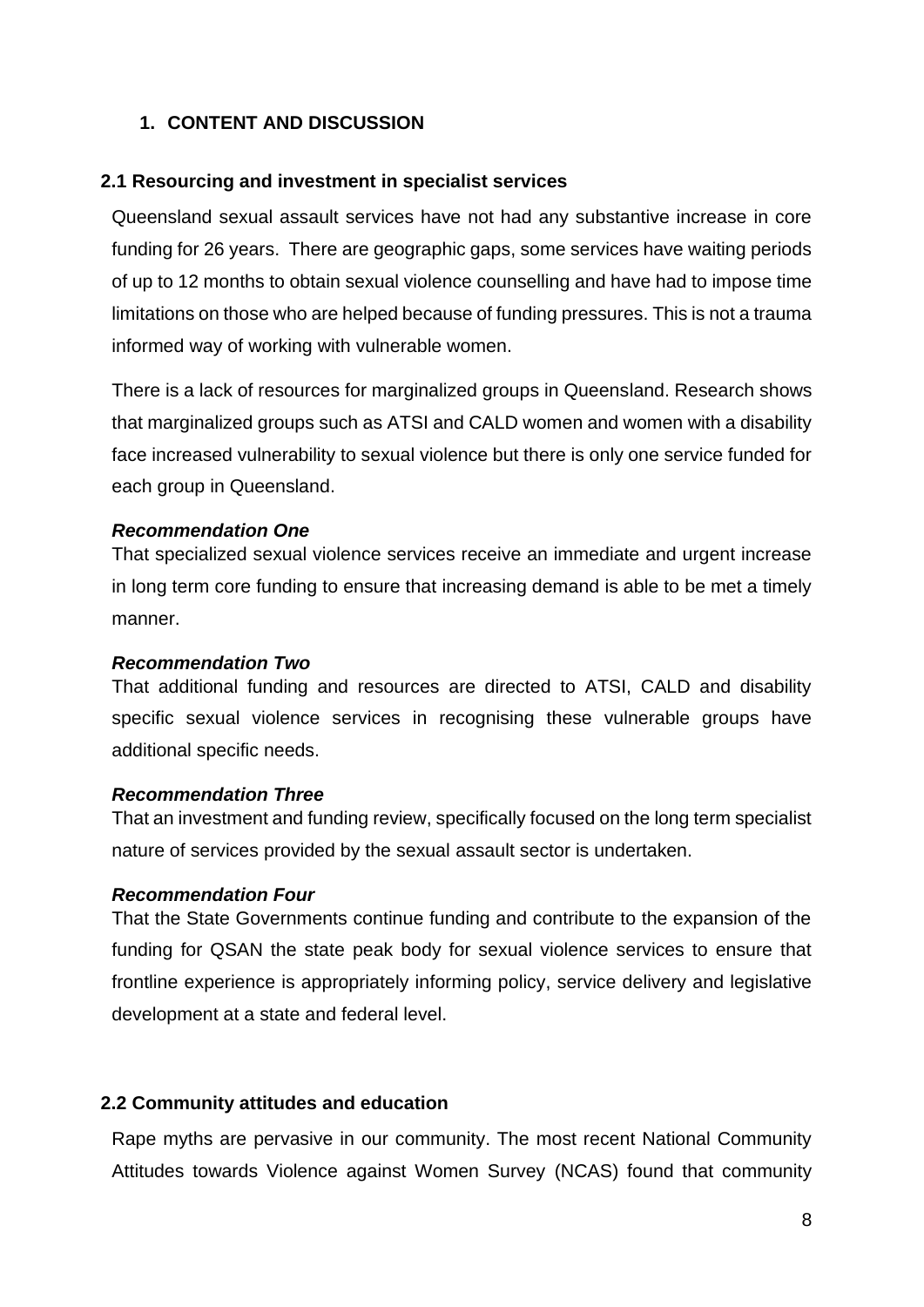# **1. CONTENT AND DISCUSSION**

#### **2.1 Resourcing and investment in specialist services**

Queensland sexual assault services have not had any substantive increase in core funding for 26 years. There are geographic gaps, some services have waiting periods of up to 12 months to obtain sexual violence counselling and have had to impose time limitations on those who are helped because of funding pressures. This is not a trauma informed way of working with vulnerable women.

There is a lack of resources for marginalized groups in Queensland. Research shows that marginalized groups such as ATSI and CALD women and women with a disability face increased vulnerability to sexual violence but there is only one service funded for each group in Queensland.

#### *Recommendation One*

That specialized sexual violence services receive an immediate and urgent increase in long term core funding to ensure that increasing demand is able to be met a timely manner.

#### *Recommendation Two*

That additional funding and resources are directed to ATSI, CALD and disability specific sexual violence services in recognising these vulnerable groups have additional specific needs.

#### *Recommendation Three*

That an investment and funding review, specifically focused on the long term specialist nature of services provided by the sexual assault sector is undertaken.

#### *Recommendation Four*

That the State Governments continue funding and contribute to the expansion of the funding for QSAN the state peak body for sexual violence services to ensure that frontline experience is appropriately informing policy, service delivery and legislative development at a state and federal level.

#### **2.2 Community attitudes and education**

Rape myths are pervasive in our community. The most recent National Community Attitudes towards Violence against Women Survey (NCAS) found that community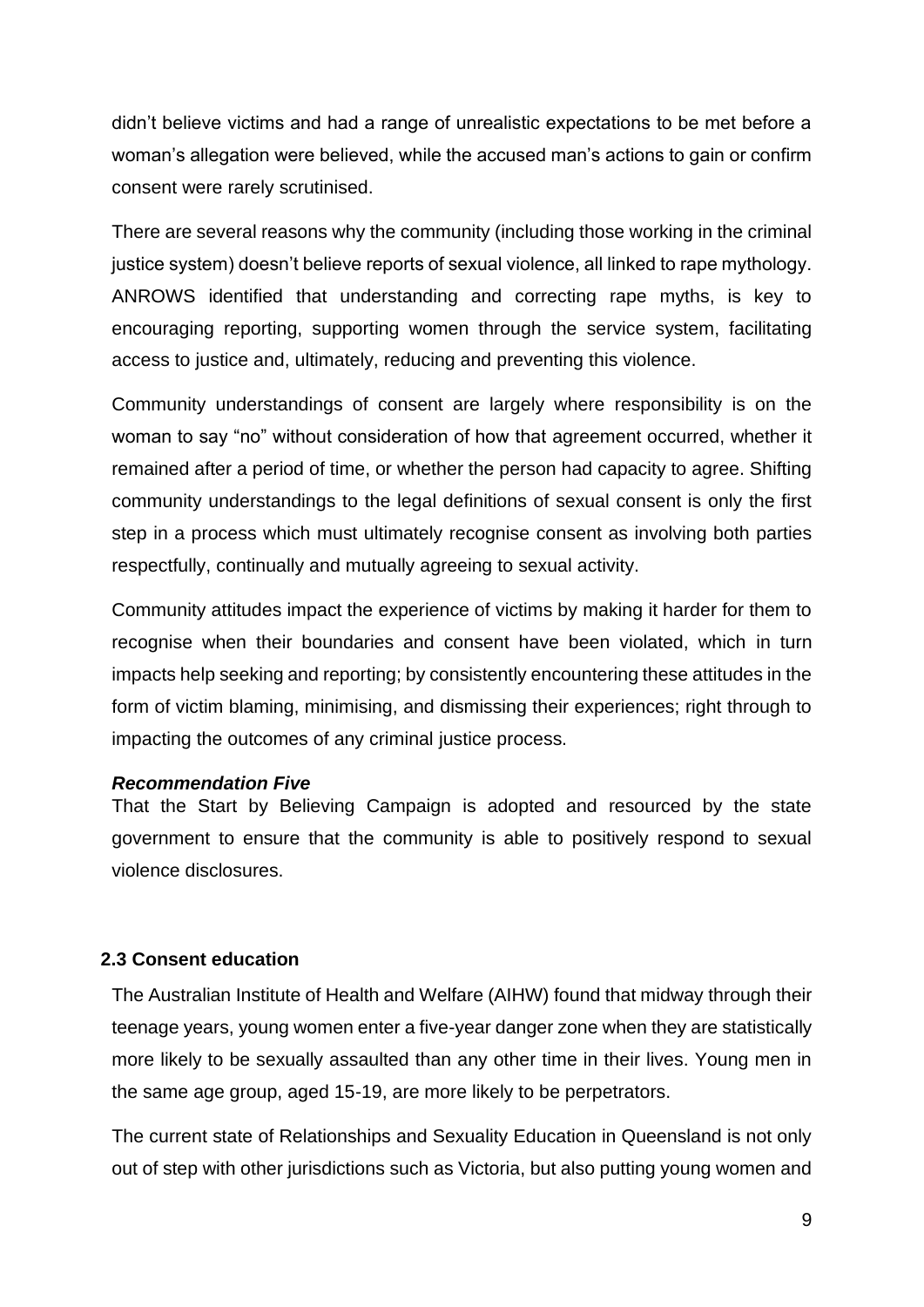didn't believe victims and had a range of unrealistic expectations to be met before a woman's allegation were believed, while the accused man's actions to gain or confirm consent were rarely scrutinised.

There are several reasons why the community (including those working in the criminal justice system) doesn't believe reports of sexual violence, all linked to rape mythology. ANROWS identified that understanding and correcting rape myths, is key to encouraging reporting, supporting women through the service system, facilitating access to justice and, ultimately, reducing and preventing this violence.

Community understandings of consent are largely where responsibility is on the woman to say "no" without consideration of how that agreement occurred, whether it remained after a period of time, or whether the person had capacity to agree. Shifting community understandings to the legal definitions of sexual consent is only the first step in a process which must ultimately recognise consent as involving both parties respectfully, continually and mutually agreeing to sexual activity.

Community attitudes impact the experience of victims by making it harder for them to recognise when their boundaries and consent have been violated, which in turn impacts help seeking and reporting; by consistently encountering these attitudes in the form of victim blaming, minimising, and dismissing their experiences; right through to impacting the outcomes of any criminal justice process.

#### *Recommendation Five*

That the Start by Believing Campaign is adopted and resourced by the state government to ensure that the community is able to positively respond to sexual violence disclosures.

## **2.3 Consent education**

The Australian Institute of Health and Welfare (AIHW) found that midway through their teenage years, young women enter a five-year danger zone when they are statistically more likely to be sexually assaulted than any other time in their lives. Young men in the same age group, aged 15-19, are more likely to be perpetrators.

The current state of Relationships and Sexuality Education in Queensland is not only out of step with other jurisdictions such as Victoria, but also putting young women and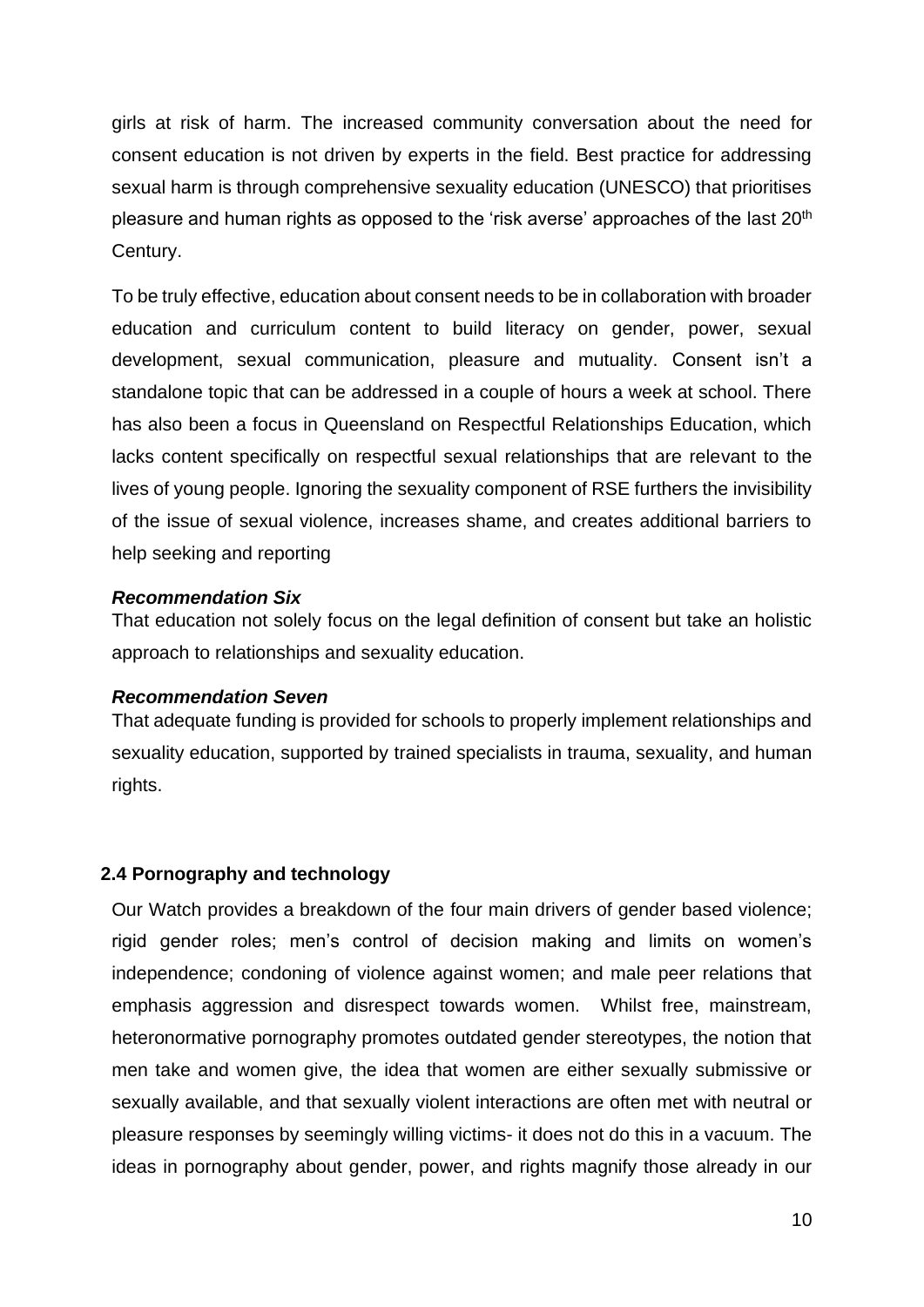girls at risk of harm. The increased community conversation about the need for consent education is not driven by experts in the field. Best practice for addressing sexual harm is through comprehensive sexuality education (UNESCO) that prioritises pleasure and human rights as opposed to the 'risk averse' approaches of the last 20<sup>th</sup> Century.

To be truly effective, education about consent needs to be in collaboration with broader education and curriculum content to build literacy on gender, power, sexual development, sexual communication, pleasure and mutuality. Consent isn't a standalone topic that can be addressed in a couple of hours a week at school. There has also been a focus in Queensland on Respectful Relationships Education, which lacks content specifically on respectful sexual relationships that are relevant to the lives of young people. Ignoring the sexuality component of RSE furthers the invisibility of the issue of sexual violence, increases shame, and creates additional barriers to help seeking and reporting

## *Recommendation Six*

That education not solely focus on the legal definition of consent but take an holistic approach to relationships and sexuality education.

## *Recommendation Seven*

That adequate funding is provided for schools to properly implement relationships and sexuality education, supported by trained specialists in trauma, sexuality, and human rights.

# **2.4 Pornography and technology**

Our Watch provides a breakdown of the four main drivers of gender based violence; rigid gender roles; men's control of decision making and limits on women's independence; condoning of violence against women; and male peer relations that emphasis aggression and disrespect towards women. Whilst free, mainstream, heteronormative pornography promotes outdated gender stereotypes, the notion that men take and women give, the idea that women are either sexually submissive or sexually available, and that sexually violent interactions are often met with neutral or pleasure responses by seemingly willing victims- it does not do this in a vacuum. The ideas in pornography about gender, power, and rights magnify those already in our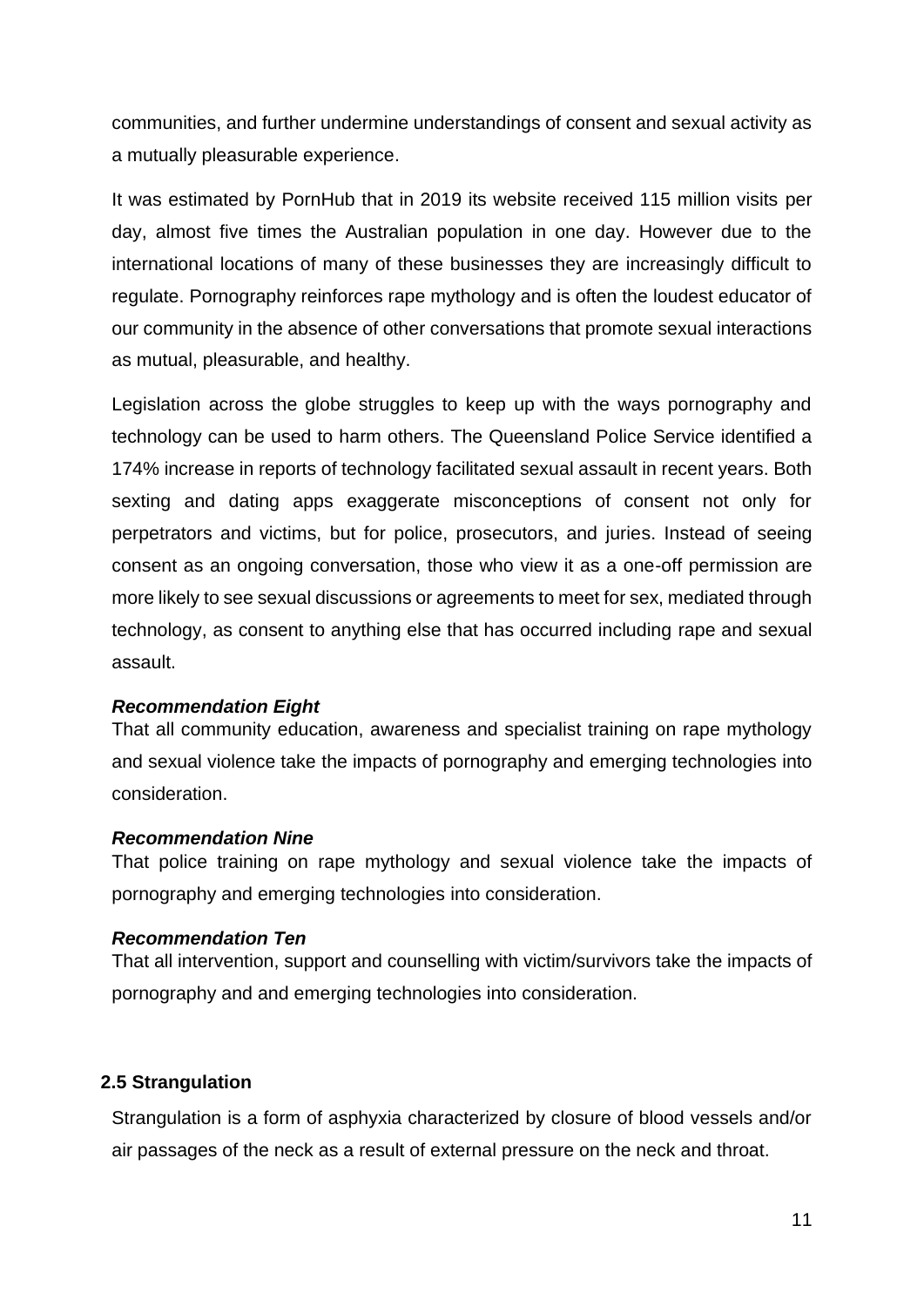communities, and further undermine understandings of consent and sexual activity as a mutually pleasurable experience.

It was estimated by PornHub that in 2019 its website received 115 million visits per day, almost five times the Australian population in one day. However due to the international locations of many of these businesses they are increasingly difficult to regulate. Pornography reinforces rape mythology and is often the loudest educator of our community in the absence of other conversations that promote sexual interactions as mutual, pleasurable, and healthy.

Legislation across the globe struggles to keep up with the ways pornography and technology can be used to harm others. The Queensland Police Service identified a 174% increase in reports of technology facilitated sexual assault in recent years. Both sexting and dating apps exaggerate misconceptions of consent not only for perpetrators and victims, but for police, prosecutors, and juries. Instead of seeing consent as an ongoing conversation, those who view it as a one-off permission are more likely to see sexual discussions or agreements to meet for sex, mediated through technology, as consent to anything else that has occurred including rape and sexual assault.

## *Recommendation Eight*

That all community education, awareness and specialist training on rape mythology and sexual violence take the impacts of pornography and emerging technologies into consideration.

## *Recommendation Nine*

That police training on rape mythology and sexual violence take the impacts of pornography and emerging technologies into consideration.

## *Recommendation Ten*

That all intervention, support and counselling with victim/survivors take the impacts of pornography and and emerging technologies into consideration.

## **2.5 Strangulation**

Strangulation is a form of asphyxia characterized by closure of blood vessels and/or air passages of the neck as a result of external pressure on the neck and throat.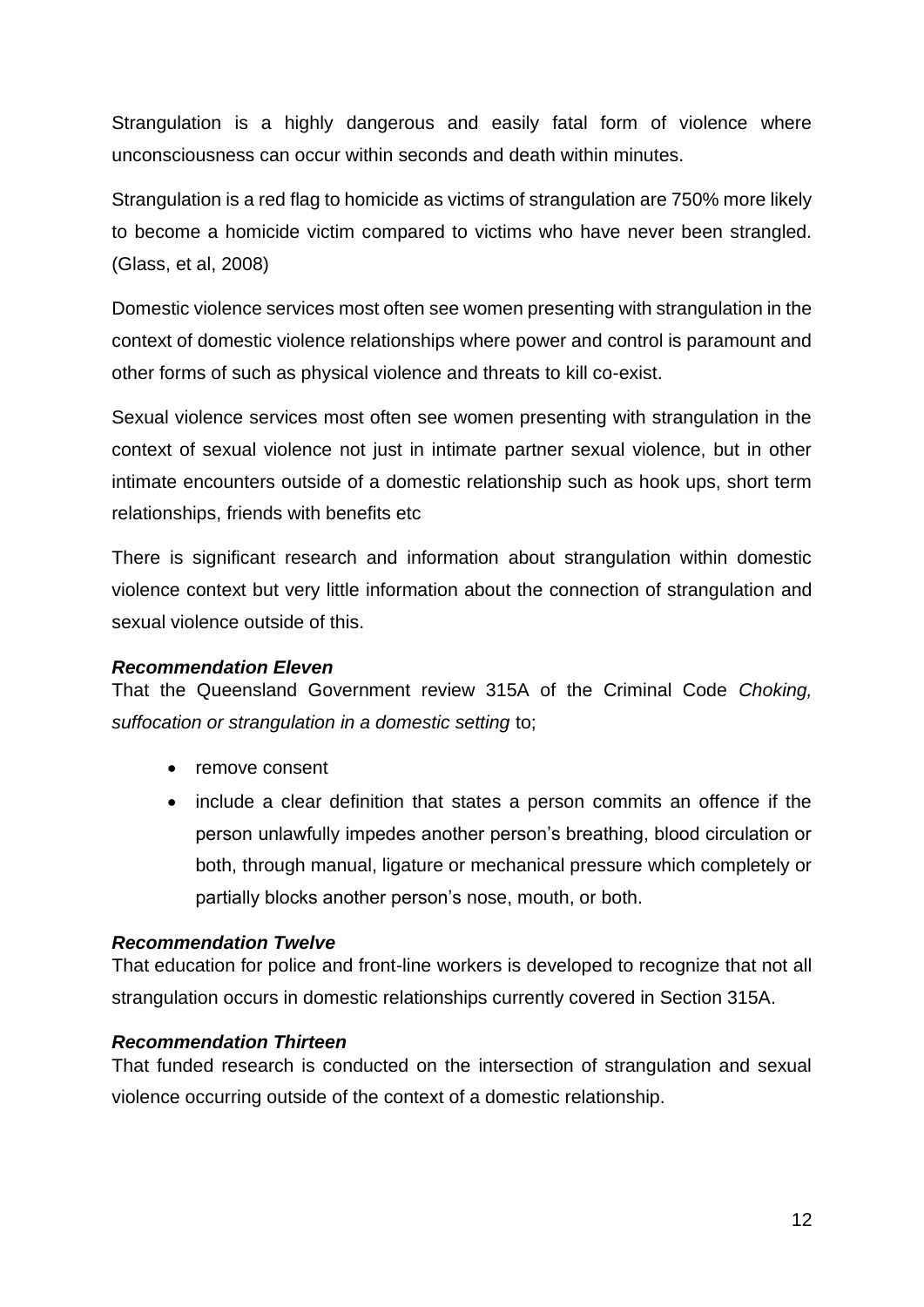Strangulation is a highly dangerous and easily fatal form of violence where unconsciousness can occur within seconds and death within minutes.

Strangulation is a red flag to homicide as victims of strangulation are 750% more likely to become a homicide victim compared to victims who have never been strangled. (Glass, et al, 2008)

Domestic violence services most often see women presenting with strangulation in the context of domestic violence relationships where power and control is paramount and other forms of such as physical violence and threats to kill co-exist.

Sexual violence services most often see women presenting with strangulation in the context of sexual violence not just in intimate partner sexual violence, but in other intimate encounters outside of a domestic relationship such as hook ups, short term relationships, friends with benefits etc

There is significant research and information about strangulation within domestic violence context but very little information about the connection of strangulation and sexual violence outside of this.

## *Recommendation Eleven*

That the Queensland Government review 315A of the Criminal Code *Choking, suffocation or strangulation in a domestic setting* to;

- remove consent
- include a clear definition that states a person commits an offence if the person unlawfully impedes another person's breathing, blood circulation or both, through manual, ligature or mechanical pressure which completely or partially blocks another person's nose, mouth, or both.

## *Recommendation Twelve*

That education for police and front-line workers is developed to recognize that not all strangulation occurs in domestic relationships currently covered in Section 315A.

## *Recommendation Thirteen*

That funded research is conducted on the intersection of strangulation and sexual violence occurring outside of the context of a domestic relationship.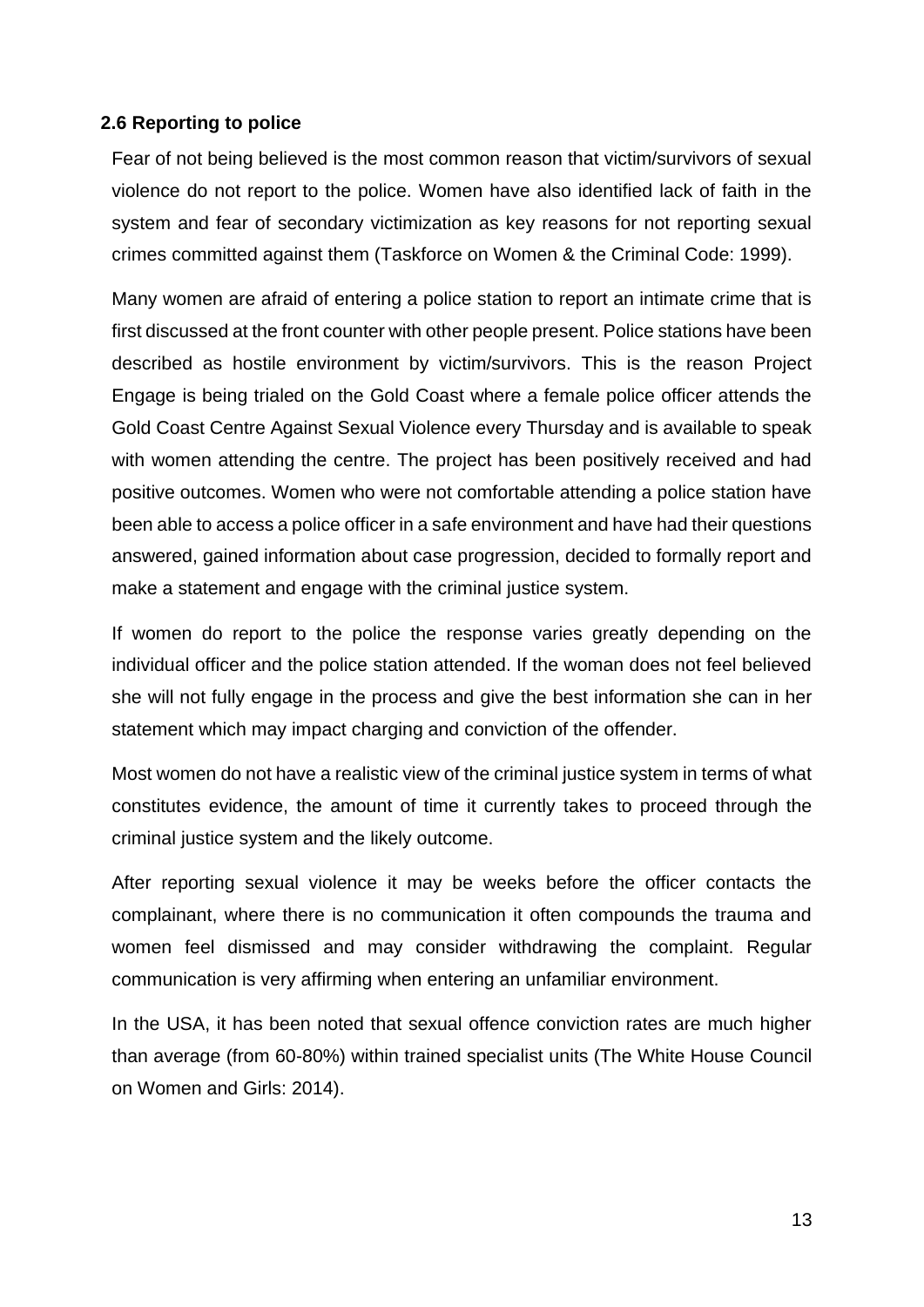# **2.6 Reporting to police**

Fear of not being believed is the most common reason that victim/survivors of sexual violence do not report to the police. Women have also identified lack of faith in the system and fear of secondary victimization as key reasons for not reporting sexual crimes committed against them (Taskforce on Women & the Criminal Code: 1999).

Many women are afraid of entering a police station to report an intimate crime that is first discussed at the front counter with other people present. Police stations have been described as hostile environment by victim/survivors. This is the reason Project Engage is being trialed on the Gold Coast where a female police officer attends the Gold Coast Centre Against Sexual Violence every Thursday and is available to speak with women attending the centre. The project has been positively received and had positive outcomes. Women who were not comfortable attending a police station have been able to access a police officer in a safe environment and have had their questions answered, gained information about case progression, decided to formally report and make a statement and engage with the criminal justice system.

If women do report to the police the response varies greatly depending on the individual officer and the police station attended. If the woman does not feel believed she will not fully engage in the process and give the best information she can in her statement which may impact charging and conviction of the offender.

Most women do not have a realistic view of the criminal justice system in terms of what constitutes evidence, the amount of time it currently takes to proceed through the criminal justice system and the likely outcome.

After reporting sexual violence it may be weeks before the officer contacts the complainant, where there is no communication it often compounds the trauma and women feel dismissed and may consider withdrawing the complaint. Regular communication is very affirming when entering an unfamiliar environment.

In the USA, it has been noted that sexual offence conviction rates are much higher than average (from 60-80%) within trained specialist units (The White House Council on Women and Girls: 2014).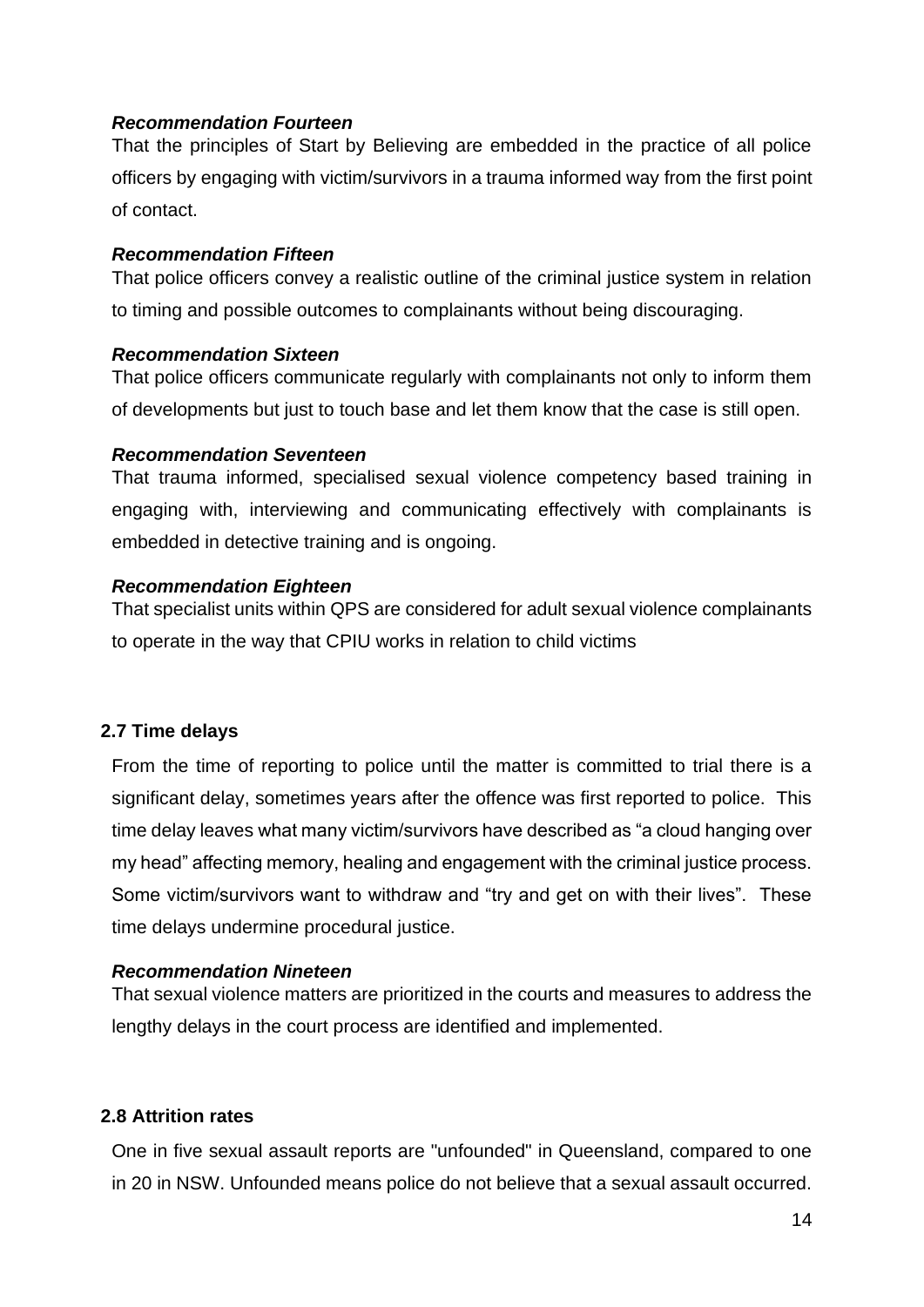## *Recommendation Fourteen*

That the principles of Start by Believing are embedded in the practice of all police officers by engaging with victim/survivors in a trauma informed way from the first point of contact.

## *Recommendation Fifteen*

That police officers convey a realistic outline of the criminal justice system in relation to timing and possible outcomes to complainants without being discouraging.

## *Recommendation Sixteen*

That police officers communicate regularly with complainants not only to inform them of developments but just to touch base and let them know that the case is still open.

## *Recommendation Seventeen*

That trauma informed, specialised sexual violence competency based training in engaging with, interviewing and communicating effectively with complainants is embedded in detective training and is ongoing.

## *Recommendation Eighteen*

That specialist units within QPS are considered for adult sexual violence complainants to operate in the way that CPIU works in relation to child victims

# **2.7 Time delays**

From the time of reporting to police until the matter is committed to trial there is a significant delay, sometimes years after the offence was first reported to police. This time delay leaves what many victim/survivors have described as "a cloud hanging over my head" affecting memory, healing and engagement with the criminal justice process. Some victim/survivors want to withdraw and "try and get on with their lives". These time delays undermine procedural justice.

# *Recommendation Nineteen*

That sexual violence matters are prioritized in the courts and measures to address the lengthy delays in the court process are identified and implemented.

# **2.8 Attrition rates**

One in five sexual assault reports are "unfounded" in Queensland, compared to one in 20 in NSW. Unfounded means police do not believe that a sexual assault occurred.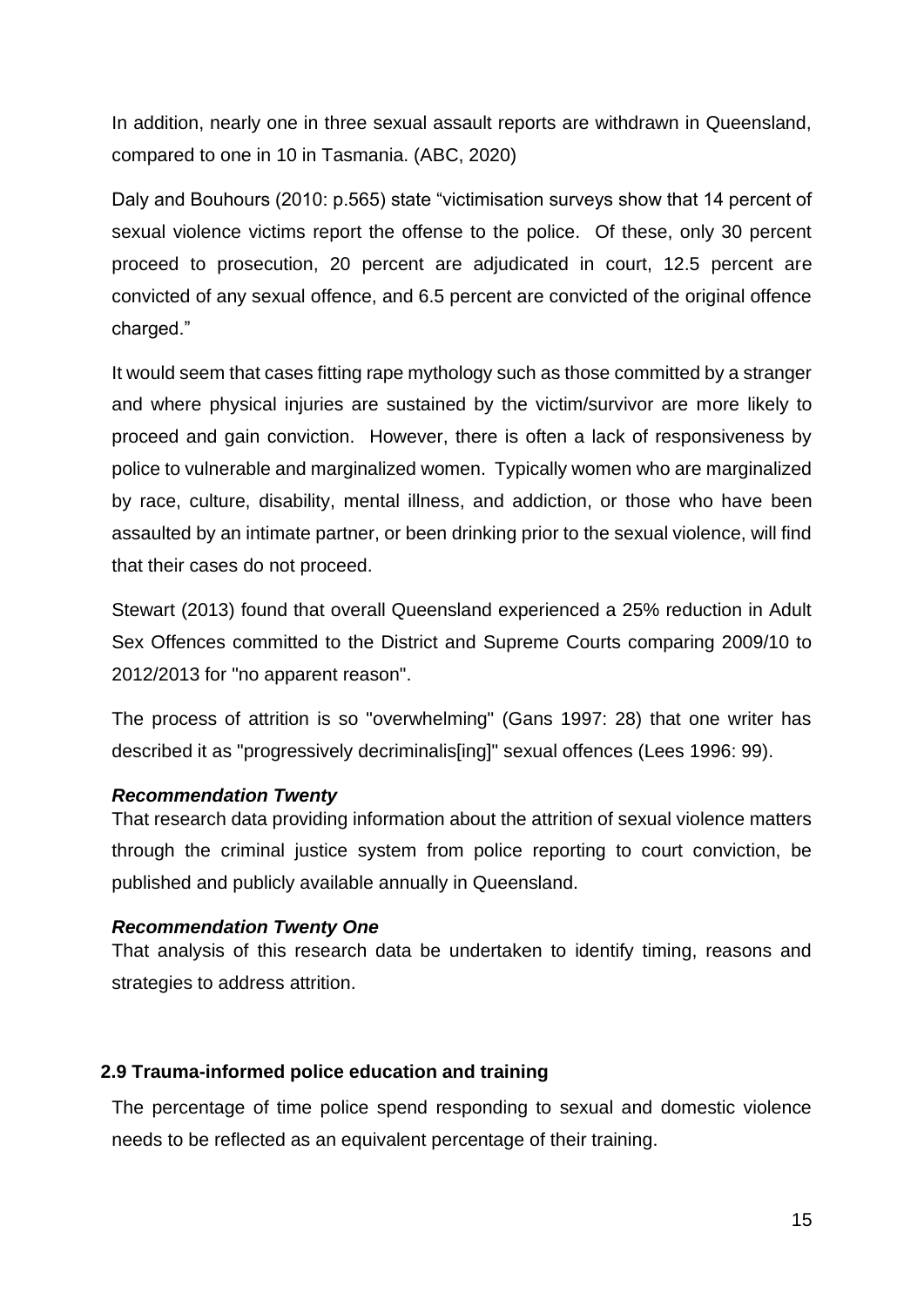In addition, nearly one in three sexual assault reports are withdrawn in Queensland, compared to one in 10 in Tasmania. (ABC, 2020)

Daly and Bouhours (2010: p.565) state "victimisation surveys show that 14 percent of sexual violence victims report the offense to the police. Of these, only 30 percent proceed to prosecution, 20 percent are adjudicated in court, 12.5 percent are convicted of any sexual offence, and 6.5 percent are convicted of the original offence charged."

It would seem that cases fitting rape mythology such as those committed by a stranger and where physical injuries are sustained by the victim/survivor are more likely to proceed and gain conviction. However, there is often a lack of responsiveness by police to vulnerable and marginalized women. Typically women who are marginalized by race, culture, disability, mental illness, and addiction, or those who have been assaulted by an intimate partner, or been drinking prior to the sexual violence, will find that their cases do not proceed.

Stewart (2013) found that overall Queensland experienced a 25% reduction in Adult Sex Offences committed to the District and Supreme Courts comparing 2009/10 to 2012/2013 for "no apparent reason".

The process of attrition is so "overwhelming" (Gans 1997: 28) that one writer has described it as "progressively decriminalis[ing]" sexual offences (Lees 1996: 99).

## *Recommendation Twenty*

That research data providing information about the attrition of sexual violence matters through the criminal justice system from police reporting to court conviction, be published and publicly available annually in Queensland.

#### *Recommendation Twenty One*

That analysis of this research data be undertaken to identify timing, reasons and strategies to address attrition.

## **2.9 Trauma-informed police education and training**

The percentage of time police spend responding to sexual and domestic violence needs to be reflected as an equivalent percentage of their training.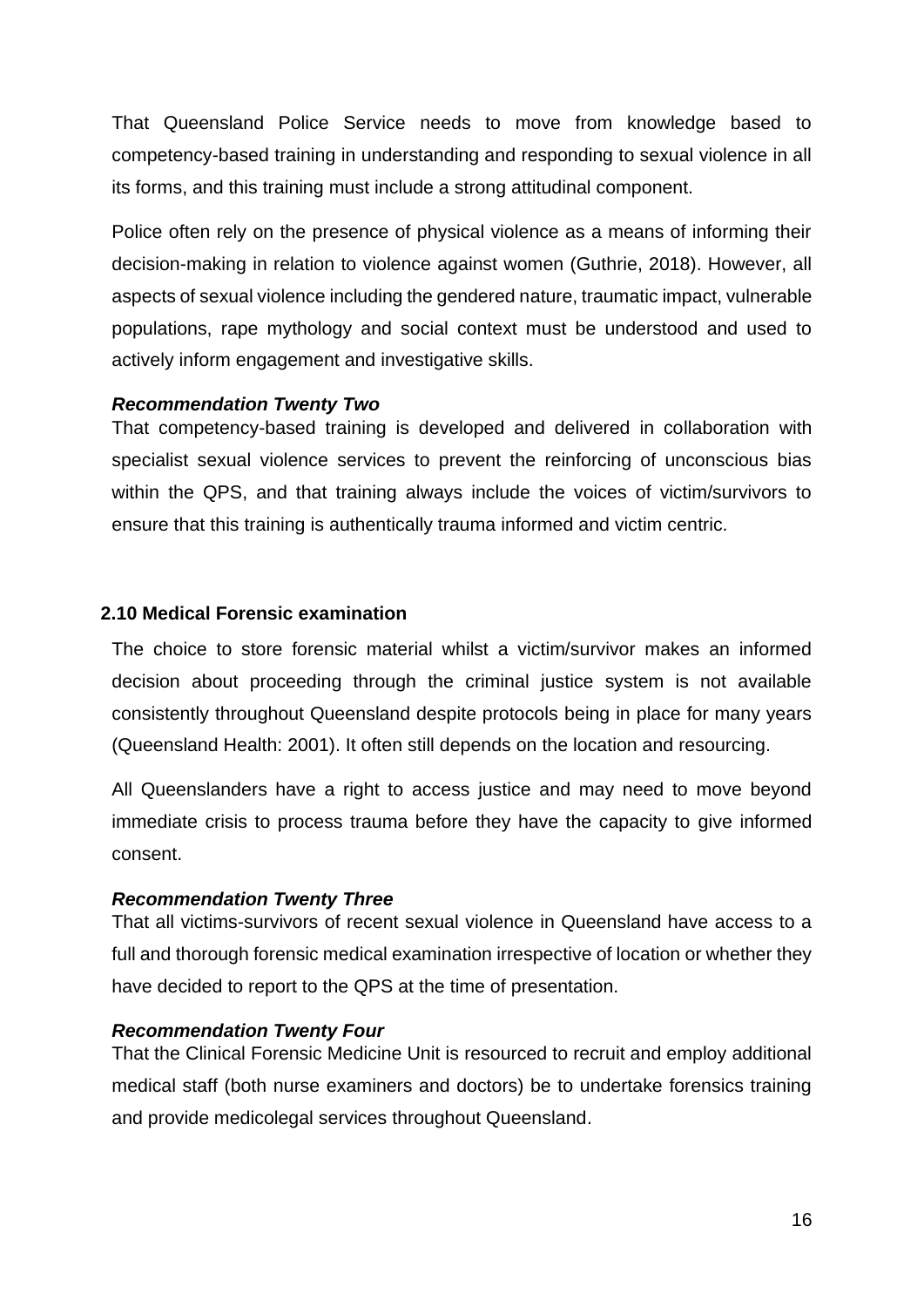That Queensland Police Service needs to move from knowledge based to competency-based training in understanding and responding to sexual violence in all its forms, and this training must include a strong attitudinal component.

Police often rely on the presence of physical violence as a means of informing their decision-making in relation to violence against women (Guthrie, 2018). However, all aspects of sexual violence including the gendered nature, traumatic impact, vulnerable populations, rape mythology and social context must be understood and used to actively inform engagement and investigative skills.

#### *Recommendation Twenty Two*

That competency-based training is developed and delivered in collaboration with specialist sexual violence services to prevent the reinforcing of unconscious bias within the QPS, and that training always include the voices of victim/survivors to ensure that this training is authentically trauma informed and victim centric.

#### **2.10 Medical Forensic examination**

The choice to store forensic material whilst a victim/survivor makes an informed decision about proceeding through the criminal justice system is not available consistently throughout Queensland despite protocols being in place for many years (Queensland Health: 2001). It often still depends on the location and resourcing.

All Queenslanders have a right to access justice and may need to move beyond immediate crisis to process trauma before they have the capacity to give informed consent.

#### *Recommendation Twenty Three*

That all victims-survivors of recent sexual violence in Queensland have access to a full and thorough forensic medical examination irrespective of location or whether they have decided to report to the QPS at the time of presentation.

#### *Recommendation Twenty Four*

That the Clinical Forensic Medicine Unit is resourced to recruit and employ additional medical staff (both nurse examiners and doctors) be to undertake forensics training and provide medicolegal services throughout Queensland.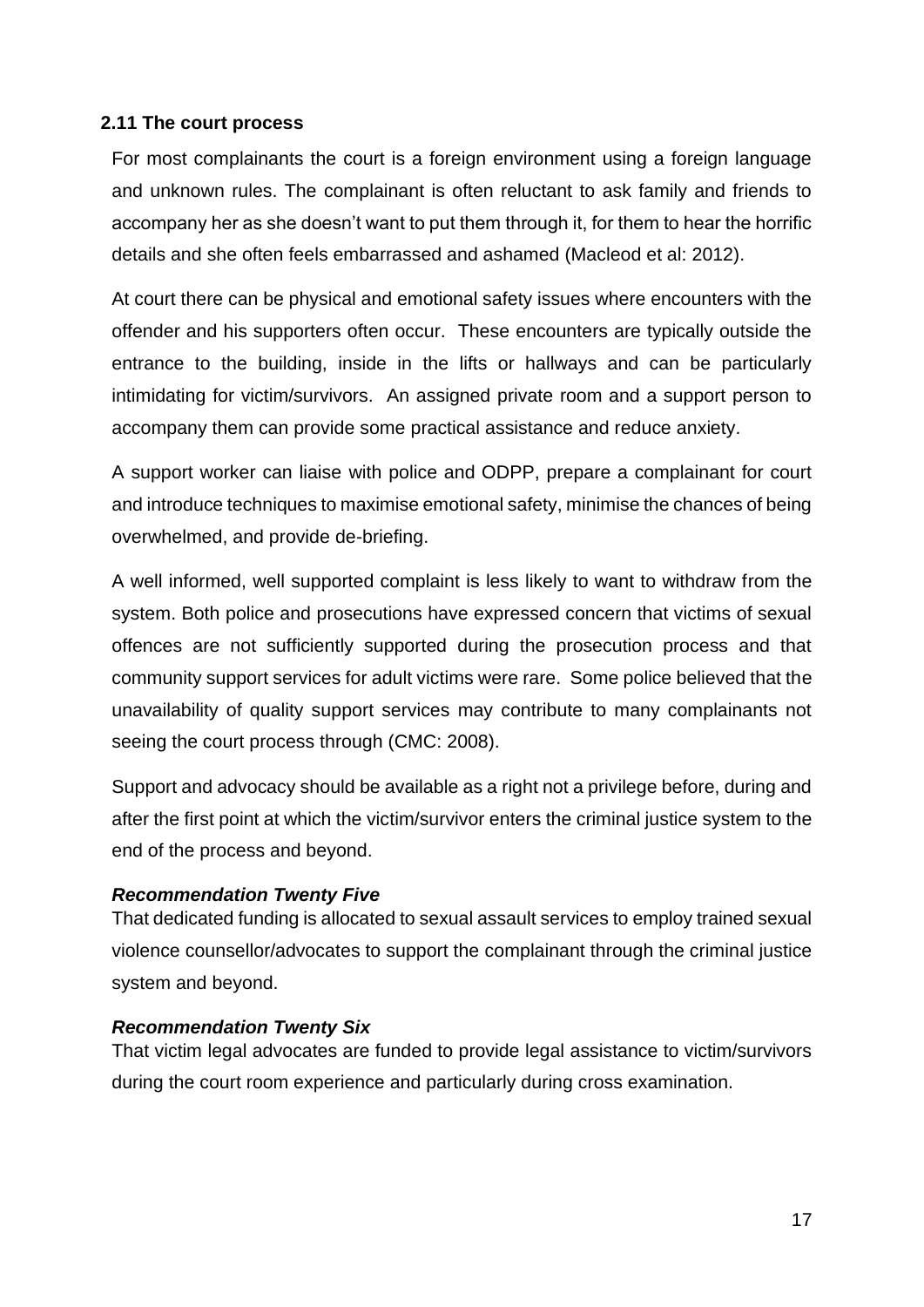# **2.11 The court process**

For most complainants the court is a foreign environment using a foreign language and unknown rules. The complainant is often reluctant to ask family and friends to accompany her as she doesn't want to put them through it, for them to hear the horrific details and she often feels embarrassed and ashamed (Macleod et al: 2012).

At court there can be physical and emotional safety issues where encounters with the offender and his supporters often occur. These encounters are typically outside the entrance to the building, inside in the lifts or hallways and can be particularly intimidating for victim/survivors. An assigned private room and a support person to accompany them can provide some practical assistance and reduce anxiety.

A support worker can liaise with police and ODPP, prepare a complainant for court and introduce techniques to maximise emotional safety, minimise the chances of being overwhelmed, and provide de-briefing.

A well informed, well supported complaint is less likely to want to withdraw from the system. Both police and prosecutions have expressed concern that victims of sexual offences are not sufficiently supported during the prosecution process and that community support services for adult victims were rare. Some police believed that the unavailability of quality support services may contribute to many complainants not seeing the court process through (CMC: 2008).

Support and advocacy should be available as a right not a privilege before, during and after the first point at which the victim/survivor enters the criminal justice system to the end of the process and beyond.

## *Recommendation Twenty Five*

That dedicated funding is allocated to sexual assault services to employ trained sexual violence counsellor/advocates to support the complainant through the criminal justice system and beyond.

## *Recommendation Twenty Six*

That victim legal advocates are funded to provide legal assistance to victim/survivors during the court room experience and particularly during cross examination.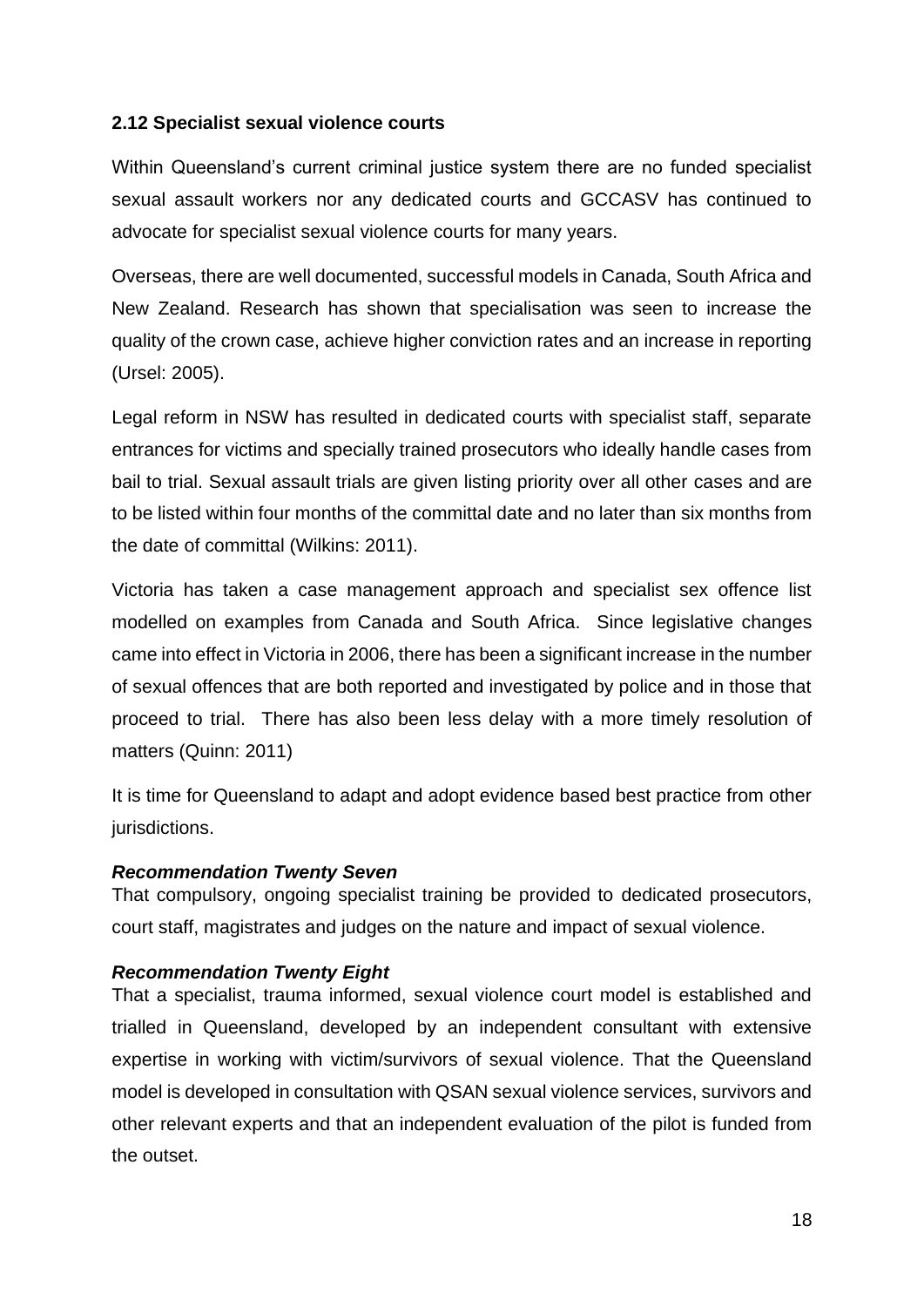# **2.12 Specialist sexual violence courts**

Within Queensland's current criminal justice system there are no funded specialist sexual assault workers nor any dedicated courts and GCCASV has continued to advocate for specialist sexual violence courts for many years.

Overseas, there are well documented, successful models in Canada, South Africa and New Zealand. Research has shown that specialisation was seen to increase the quality of the crown case, achieve higher conviction rates and an increase in reporting (Ursel: 2005).

Legal reform in NSW has resulted in dedicated courts with specialist staff, separate entrances for victims and specially trained prosecutors who ideally handle cases from bail to trial. Sexual assault trials are given listing priority over all other cases and are to be listed within four months of the committal date and no later than six months from the date of committal (Wilkins: 2011).

Victoria has taken a case management approach and specialist sex offence list modelled on examples from Canada and South Africa. Since legislative changes came into effect in Victoria in 2006, there has been a significant increase in the number of sexual offences that are both reported and investigated by police and in those that proceed to trial. There has also been less delay with a more timely resolution of matters (Quinn: 2011)

It is time for Queensland to adapt and adopt evidence based best practice from other jurisdictions.

## *Recommendation Twenty Seven*

That compulsory, ongoing specialist training be provided to dedicated prosecutors, court staff, magistrates and judges on the nature and impact of sexual violence.

## *Recommendation Twenty Eight*

That a specialist, trauma informed, sexual violence court model is established and trialled in Queensland, developed by an independent consultant with extensive expertise in working with victim/survivors of sexual violence. That the Queensland model is developed in consultation with QSAN sexual violence services, survivors and other relevant experts and that an independent evaluation of the pilot is funded from the outset.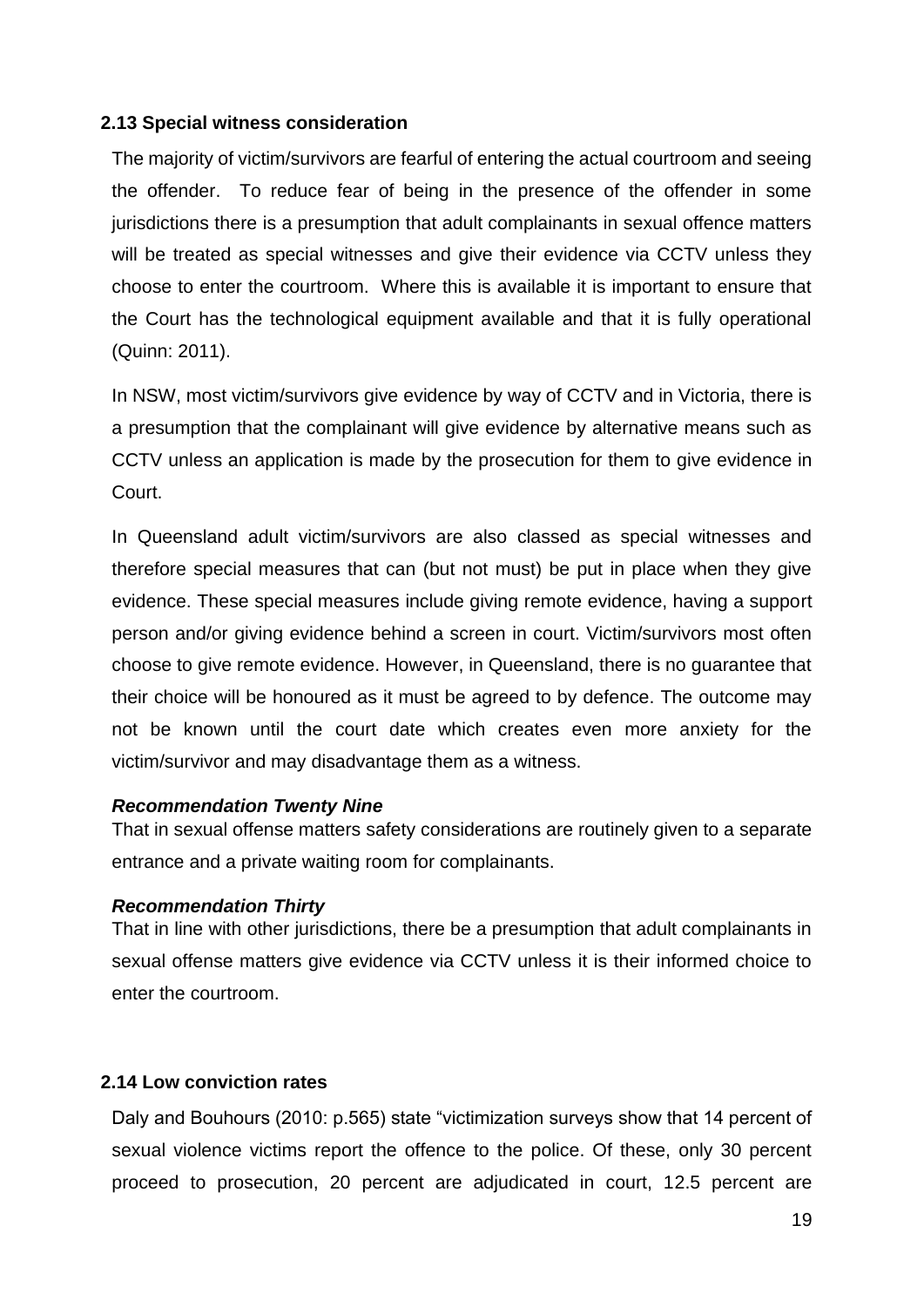#### **2.13 Special witness consideration**

The majority of victim/survivors are fearful of entering the actual courtroom and seeing the offender. To reduce fear of being in the presence of the offender in some jurisdictions there is a presumption that adult complainants in sexual offence matters will be treated as special witnesses and give their evidence via CCTV unless they choose to enter the courtroom. Where this is available it is important to ensure that the Court has the technological equipment available and that it is fully operational (Quinn: 2011).

In NSW, most victim/survivors give evidence by way of CCTV and in Victoria, there is a presumption that the complainant will give evidence by alternative means such as CCTV unless an application is made by the prosecution for them to give evidence in Court.

In Queensland adult victim/survivors are also classed as special witnesses and therefore special measures that can (but not must) be put in place when they give evidence. These special measures include giving remote evidence, having a support person and/or giving evidence behind a screen in court. Victim/survivors most often choose to give remote evidence. However, in Queensland, there is no guarantee that their choice will be honoured as it must be agreed to by defence. The outcome may not be known until the court date which creates even more anxiety for the victim/survivor and may disadvantage them as a witness.

#### *Recommendation Twenty Nine*

That in sexual offense matters safety considerations are routinely given to a separate entrance and a private waiting room for complainants.

#### *Recommendation Thirty*

That in line with other jurisdictions, there be a presumption that adult complainants in sexual offense matters give evidence via CCTV unless it is their informed choice to enter the courtroom.

## **2.14 Low conviction rates**

Daly and Bouhours (2010: p.565) state "victimization surveys show that 14 percent of sexual violence victims report the offence to the police. Of these, only 30 percent proceed to prosecution, 20 percent are adjudicated in court, 12.5 percent are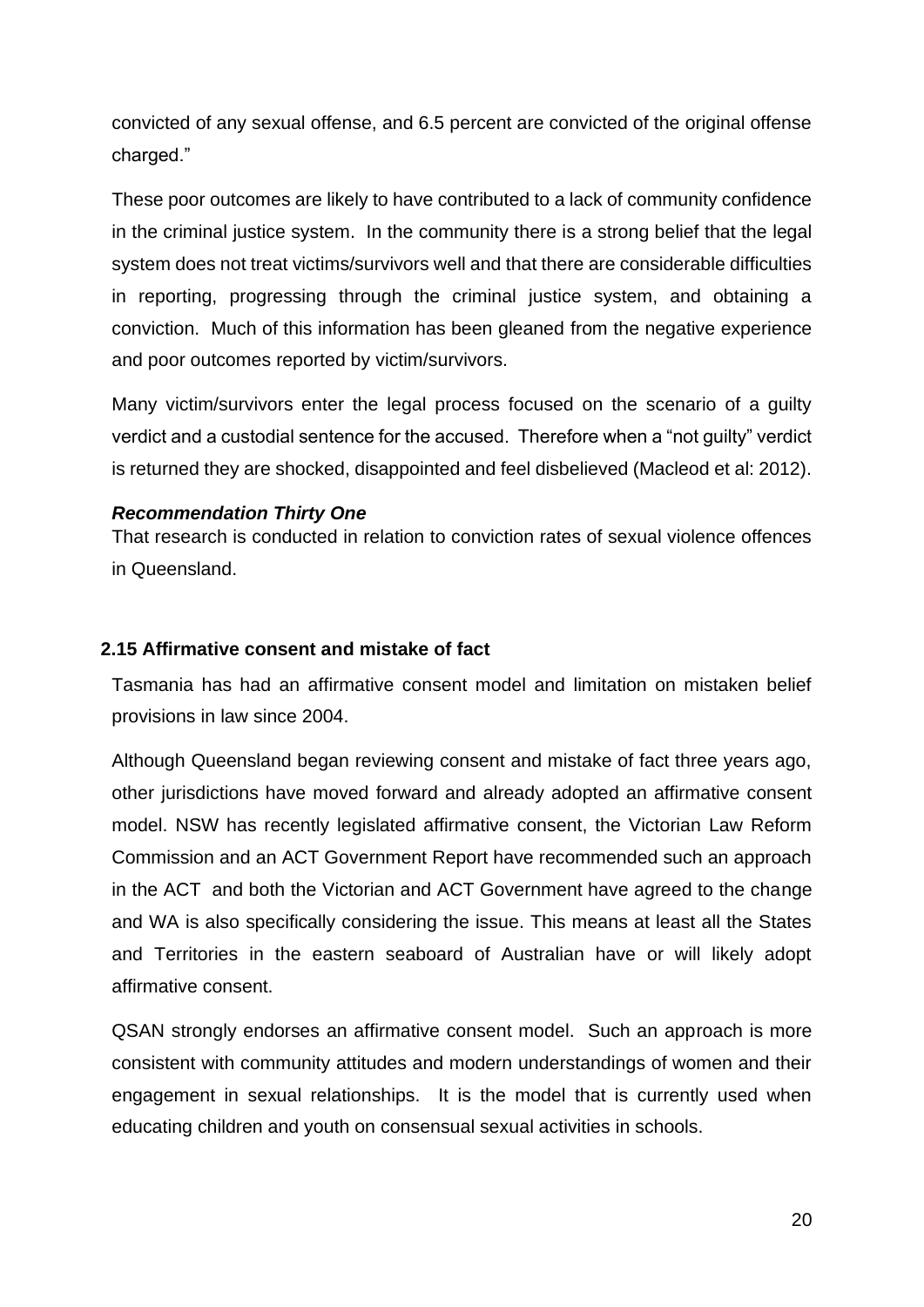convicted of any sexual offense, and 6.5 percent are convicted of the original offense charged."

These poor outcomes are likely to have contributed to a lack of community confidence in the criminal justice system. In the community there is a strong belief that the legal system does not treat victims/survivors well and that there are considerable difficulties in reporting, progressing through the criminal justice system, and obtaining a conviction. Much of this information has been gleaned from the negative experience and poor outcomes reported by victim/survivors.

Many victim/survivors enter the legal process focused on the scenario of a guilty verdict and a custodial sentence for the accused. Therefore when a "not guilty" verdict is returned they are shocked, disappointed and feel disbelieved (Macleod et al: 2012).

# *Recommendation Thirty One*

That research is conducted in relation to conviction rates of sexual violence offences in Queensland.

## **2.15 Affirmative consent and mistake of fact**

Tasmania has had an affirmative consent model and limitation on mistaken belief provisions in law since 2004.

Although Queensland began reviewing consent and mistake of fact three years ago, other jurisdictions have moved forward and already adopted an affirmative consent model. NSW has recently legislated affirmative consent, the Victorian Law Reform Commission and an ACT Government Report have recommended such an approach in the ACT and both the Victorian and ACT Government have agreed to the change and WA is also specifically considering the issue. This means at least all the States and Territories in the eastern seaboard of Australian have or will likely adopt affirmative consent.

QSAN strongly endorses an affirmative consent model. Such an approach is more consistent with community attitudes and modern understandings of women and their engagement in sexual relationships. It is the model that is currently used when educating children and youth on consensual sexual activities in schools.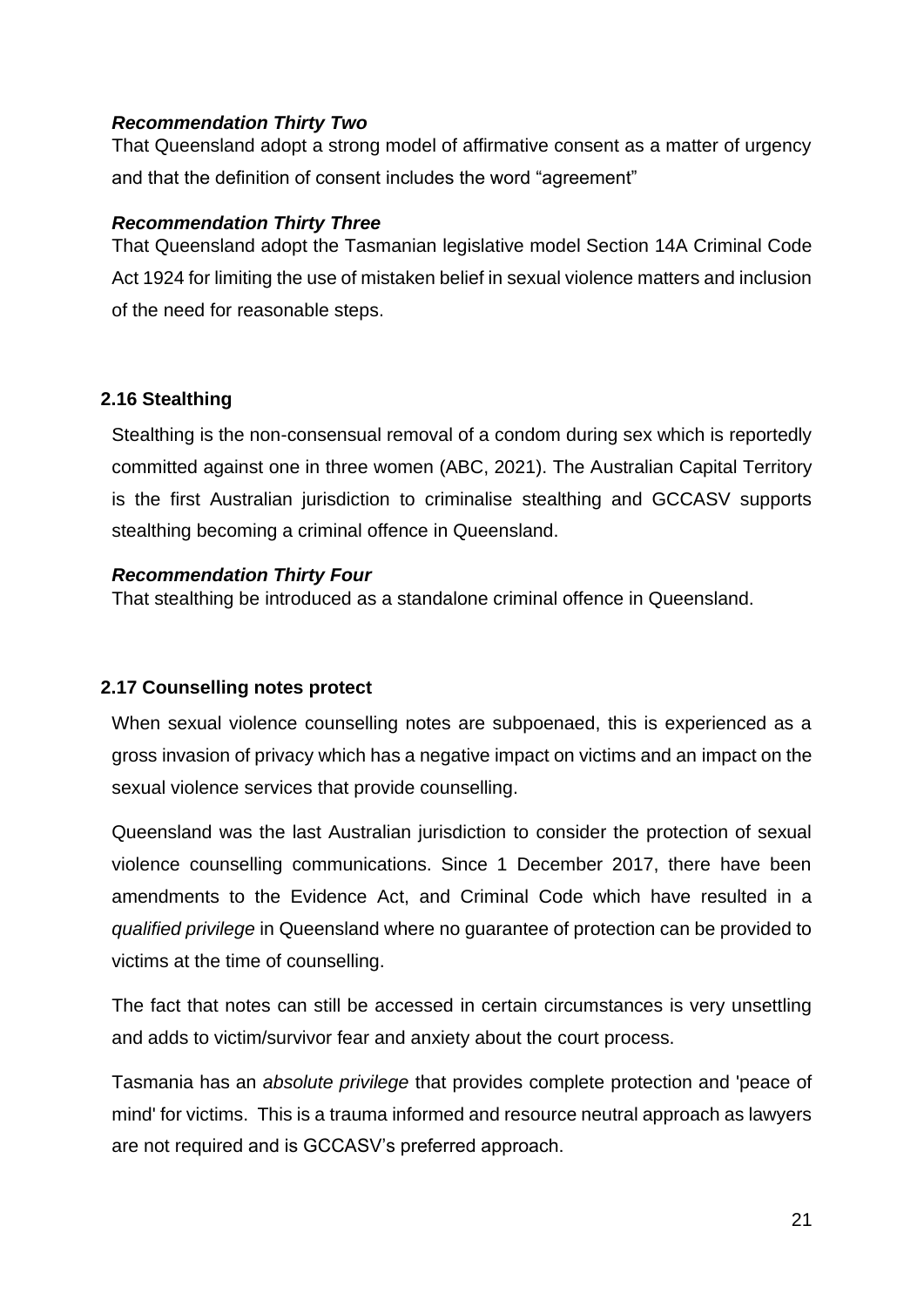## *Recommendation Thirty Two*

That Queensland adopt a strong model of affirmative consent as a matter of urgency and that the definition of consent includes the word "agreement"

## *Recommendation Thirty Three*

That Queensland adopt the Tasmanian legislative model Section 14A Criminal Code Act 1924 for limiting the use of mistaken belief in sexual violence matters and inclusion of the need for reasonable steps.

# **2.16 Stealthing**

Stealthing is the non-consensual removal of a condom during sex which is reportedly committed against one in three women (ABC, 2021). The Australian Capital Territory is the first Australian jurisdiction to criminalise stealthing and GCCASV supports stealthing becoming a criminal offence in Queensland.

## *Recommendation Thirty Four*

That stealthing be introduced as a standalone criminal offence in Queensland.

# **2.17 Counselling notes protect**

When sexual violence counselling notes are subpoenaed, this is experienced as a gross invasion of privacy which has a negative impact on victims and an impact on the sexual violence services that provide counselling.

Queensland was the last Australian jurisdiction to consider the protection of sexual violence counselling communications. Since 1 December 2017, there have been amendments to the Evidence Act, and Criminal Code which have resulted in a *qualified privilege* in Queensland where no guarantee of protection can be provided to victims at the time of counselling.

The fact that notes can still be accessed in certain circumstances is very unsettling and adds to victim/survivor fear and anxiety about the court process.

Tasmania has an *absolute privilege* that provides complete protection and 'peace of mind' for victims. This is a trauma informed and resource neutral approach as lawyers are not required and is GCCASV's preferred approach.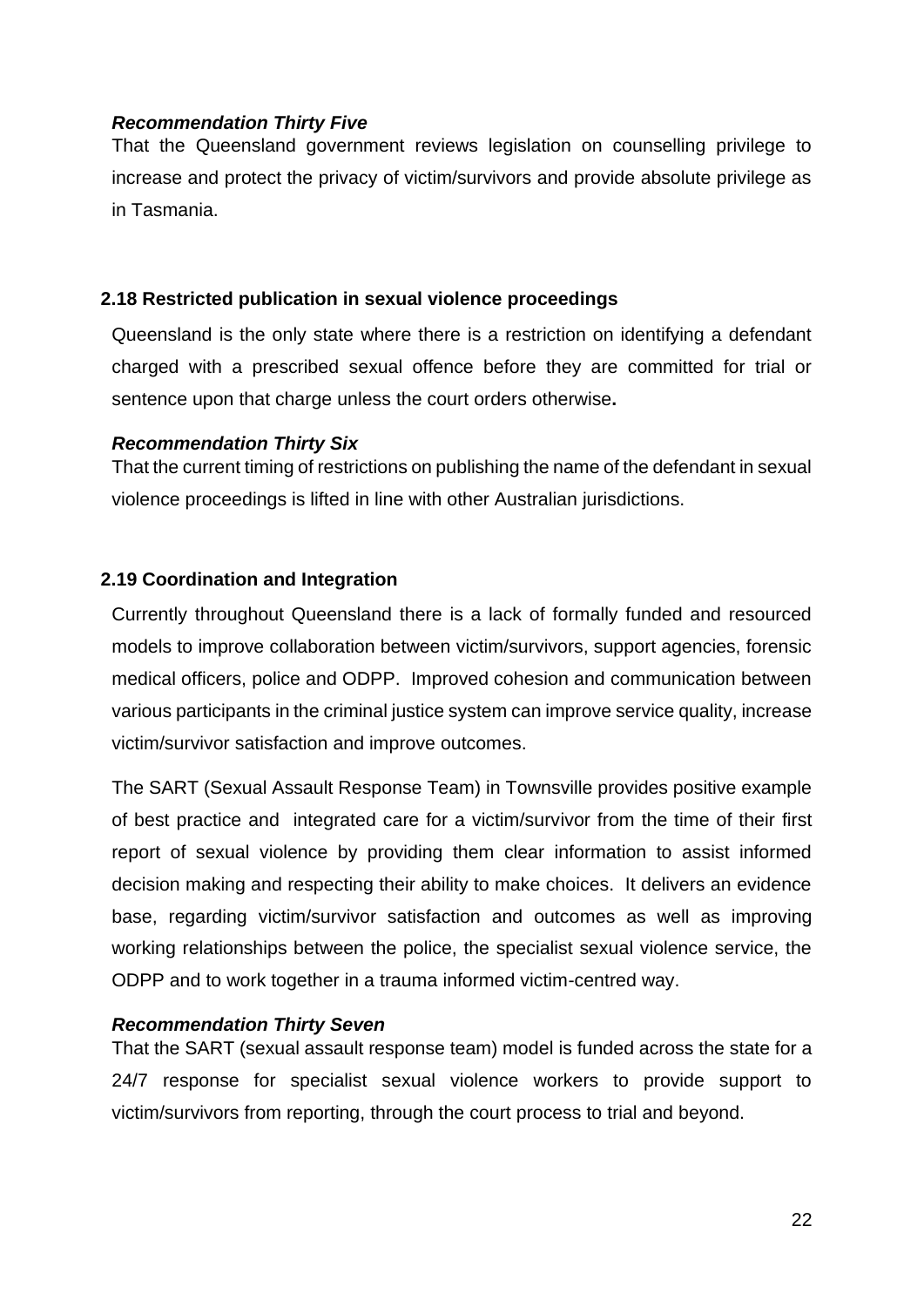## *Recommendation Thirty Five*

That the Queensland government reviews legislation on counselling privilege to increase and protect the privacy of victim/survivors and provide absolute privilege as in Tasmania.

## **2.18 Restricted publication in sexual violence proceedings**

Queensland is the only state where there is a restriction on identifying a defendant charged with a prescribed sexual offence before they are committed for trial or sentence upon that charge unless the court orders otherwise**.** 

## *Recommendation Thirty Six*

That the current timing of restrictions on publishing the name of the defendant in sexual violence proceedings is lifted in line with other Australian jurisdictions.

## **2.19 Coordination and Integration**

Currently throughout Queensland there is a lack of formally funded and resourced models to improve collaboration between victim/survivors, support agencies, forensic medical officers, police and ODPP. Improved cohesion and communication between various participants in the criminal justice system can improve service quality, increase victim/survivor satisfaction and improve outcomes.

The SART (Sexual Assault Response Team) in Townsville provides positive example of best practice and integrated care for a victim/survivor from the time of their first report of sexual violence by providing them clear information to assist informed decision making and respecting their ability to make choices. It delivers an evidence base, regarding victim/survivor satisfaction and outcomes as well as improving working relationships between the police, the specialist sexual violence service, the ODPP and to work together in a trauma informed victim-centred way.

## *Recommendation Thirty Seven*

That the SART (sexual assault response team) model is funded across the state for a 24/7 response for specialist sexual violence workers to provide support to victim/survivors from reporting, through the court process to trial and beyond.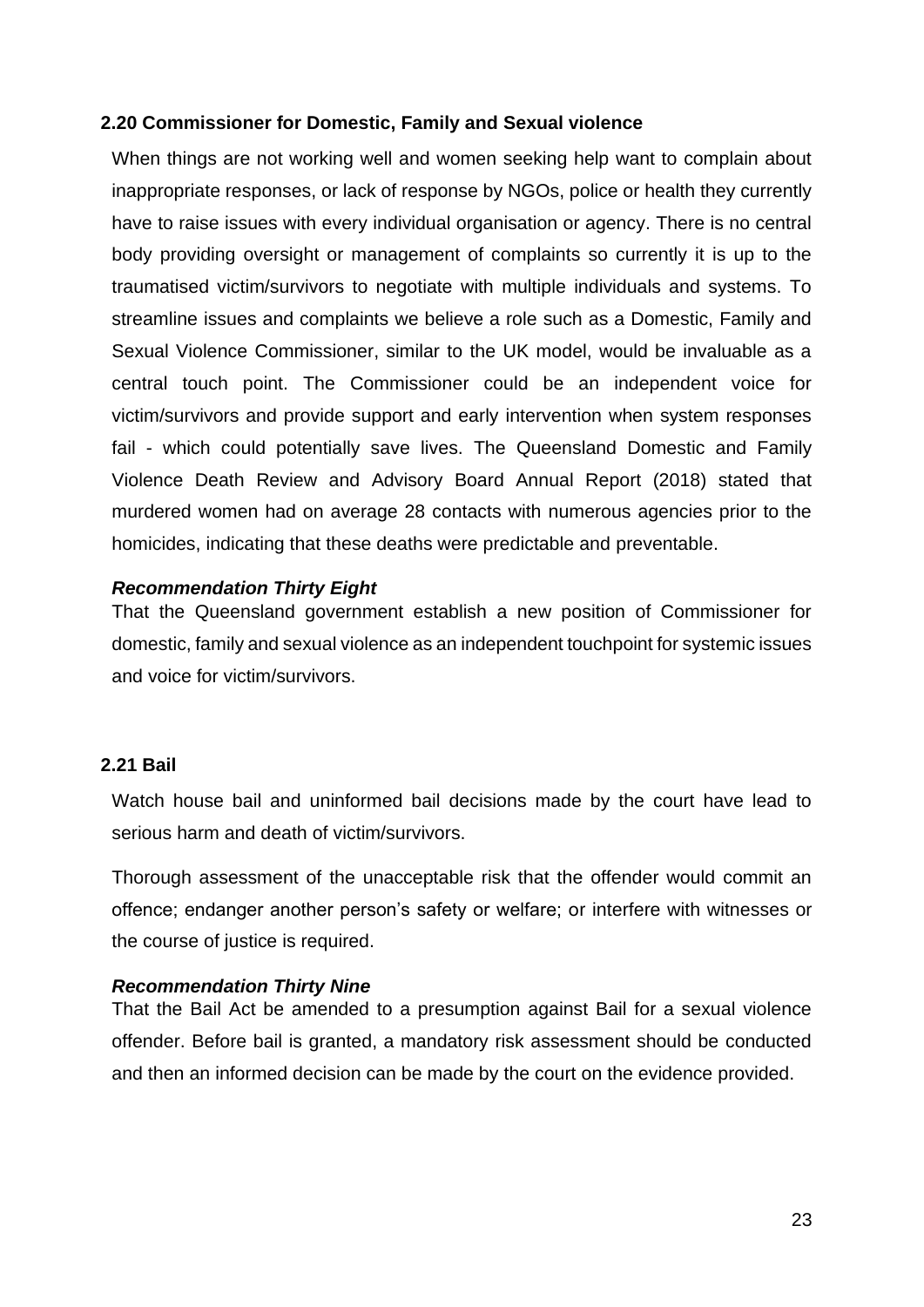#### **2.20 Commissioner for Domestic, Family and Sexual violence**

When things are not working well and women seeking help want to complain about inappropriate responses, or lack of response by NGOs, police or health they currently have to raise issues with every individual organisation or agency. There is no central body providing oversight or management of complaints so currently it is up to the traumatised victim/survivors to negotiate with multiple individuals and systems. To streamline issues and complaints we believe a role such as a Domestic, Family and Sexual Violence Commissioner, similar to the UK model, would be invaluable as a central touch point. The Commissioner could be an independent voice for victim/survivors and provide support and early intervention when system responses fail - which could potentially save lives. The Queensland Domestic and Family Violence Death Review and Advisory Board Annual Report (2018) stated that murdered women had on average 28 contacts with numerous agencies prior to the homicides, indicating that these deaths were predictable and preventable.

#### *Recommendation Thirty Eight*

That the Queensland government establish a new position of Commissioner for domestic, family and sexual violence as an independent touchpoint for systemic issues and voice for victim/survivors.

## **2.21 Bail**

Watch house bail and uninformed bail decisions made by the court have lead to serious harm and death of victim/survivors.

Thorough assessment of the unacceptable risk that the offender would commit an offence; endanger another person's safety or welfare; or interfere with witnesses or the course of justice is required.

#### *Recommendation Thirty Nine*

That the Bail Act be amended to a presumption against Bail for a sexual violence offender. Before bail is granted, a mandatory risk assessment should be conducted and then an informed decision can be made by the court on the evidence provided.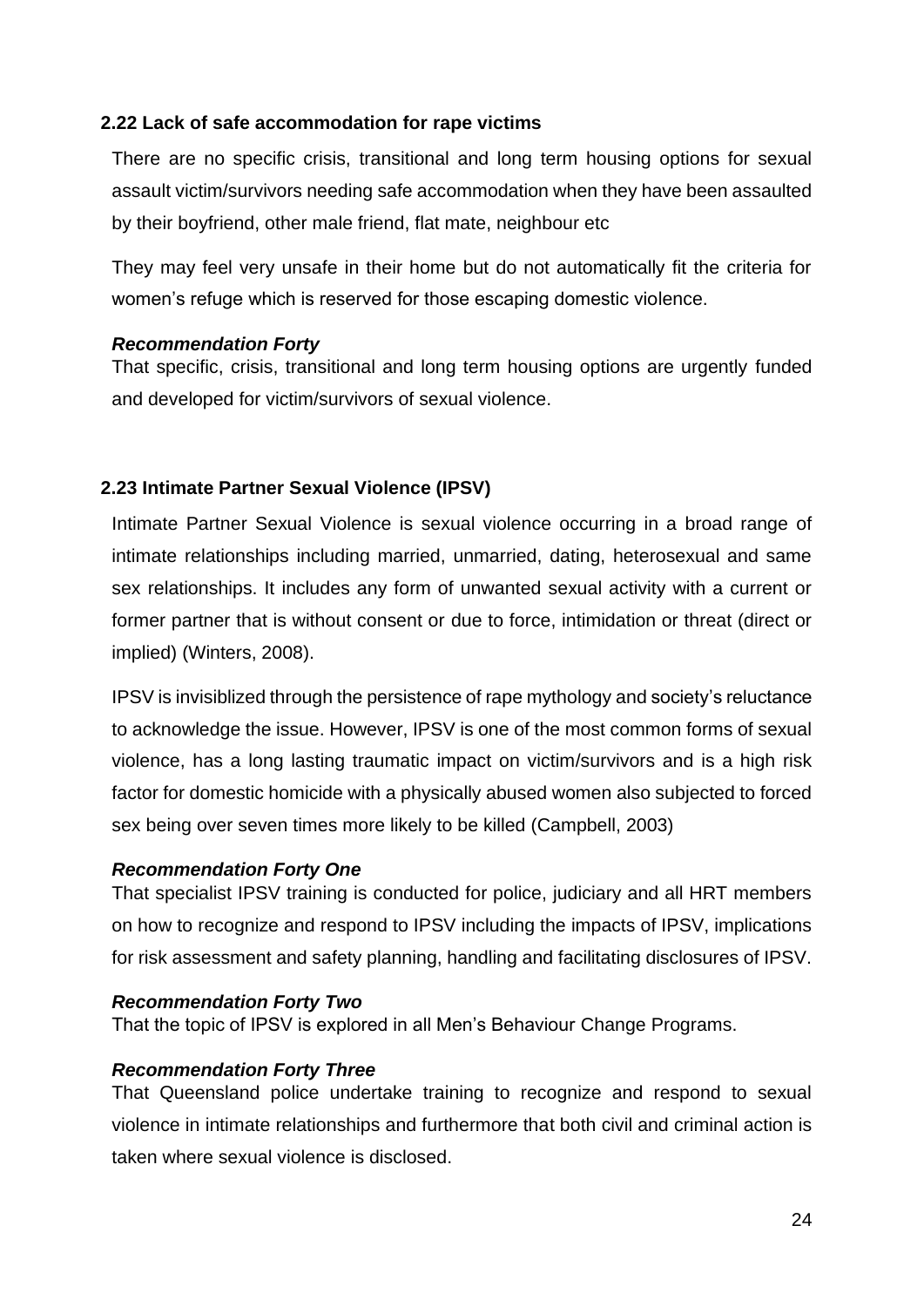## **2.22 Lack of safe accommodation for rape victims**

There are no specific crisis, transitional and long term housing options for sexual assault victim/survivors needing safe accommodation when they have been assaulted by their boyfriend, other male friend, flat mate, neighbour etc

They may feel very unsafe in their home but do not automatically fit the criteria for women's refuge which is reserved for those escaping domestic violence.

## *Recommendation Forty*

That specific, crisis, transitional and long term housing options are urgently funded and developed for victim/survivors of sexual violence.

## **2.23 Intimate Partner Sexual Violence (IPSV)**

Intimate Partner Sexual Violence is sexual violence occurring in a broad range of intimate relationships including married, unmarried, dating, heterosexual and same sex relationships. It includes any form of unwanted sexual activity with a current or former partner that is without consent or due to force, intimidation or threat (direct or implied) (Winters, 2008).

IPSV is invisiblized through the persistence of rape mythology and society's reluctance to acknowledge the issue. However, IPSV is one of the most common forms of sexual violence, has a long lasting traumatic impact on victim/survivors and is a high risk factor for domestic homicide with a physically abused women also subjected to forced sex being over seven times more likely to be killed (Campbell, 2003)

## *Recommendation Forty One*

That specialist IPSV training is conducted for police, judiciary and all HRT members on how to recognize and respond to IPSV including the impacts of IPSV, implications for risk assessment and safety planning, handling and facilitating disclosures of IPSV.

#### *Recommendation Forty Two*

That the topic of IPSV is explored in all Men's Behaviour Change Programs.

## *Recommendation Forty Three*

That Queensland police undertake training to recognize and respond to sexual violence in intimate relationships and furthermore that both civil and criminal action is taken where sexual violence is disclosed.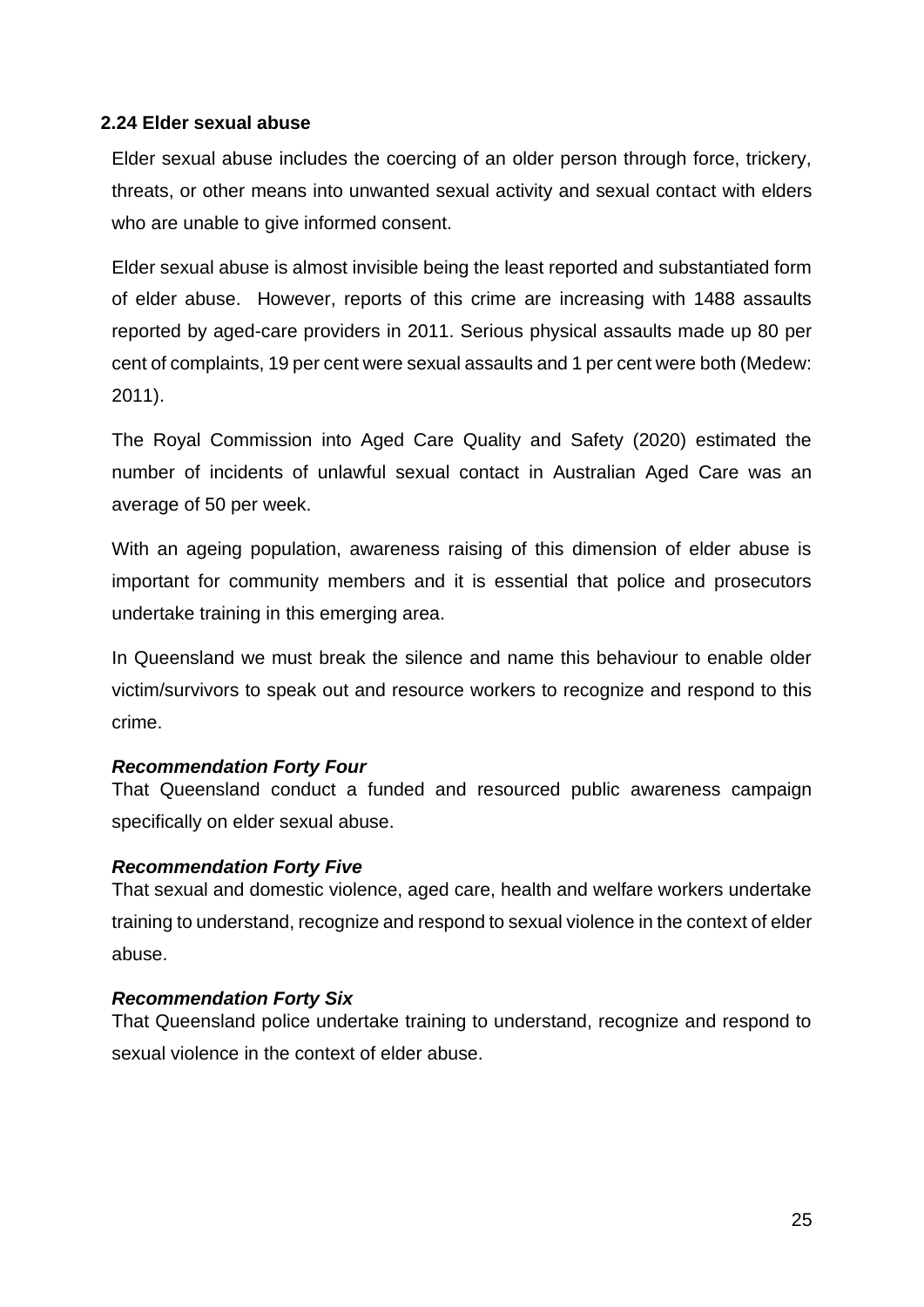## **2.24 Elder sexual abuse**

Elder sexual abuse includes the coercing of an older person through force, trickery, threats, or other means into unwanted sexual activity and sexual contact with elders who are unable to give informed consent.

Elder sexual abuse is almost invisible being the least reported and substantiated form of elder abuse. However, reports of this crime are increasing with 1488 assaults reported by aged-care providers in 2011. Serious physical assaults made up 80 per cent of complaints, 19 per cent were sexual assaults and 1 per cent were both (Medew: 2011).

The Royal Commission into Aged Care Quality and Safety (2020) estimated the number of incidents of unlawful sexual contact in Australian Aged Care was an average of 50 per week.

With an ageing population, awareness raising of this dimension of elder abuse is important for community members and it is essential that police and prosecutors undertake training in this emerging area.

In Queensland we must break the silence and name this behaviour to enable older victim/survivors to speak out and resource workers to recognize and respond to this crime.

## *Recommendation Forty Four*

That Queensland conduct a funded and resourced public awareness campaign specifically on elder sexual abuse.

# *Recommendation Forty Five*

That sexual and domestic violence, aged care, health and welfare workers undertake training to understand, recognize and respond to sexual violence in the context of elder abuse.

## *Recommendation Forty Six*

That Queensland police undertake training to understand, recognize and respond to sexual violence in the context of elder abuse.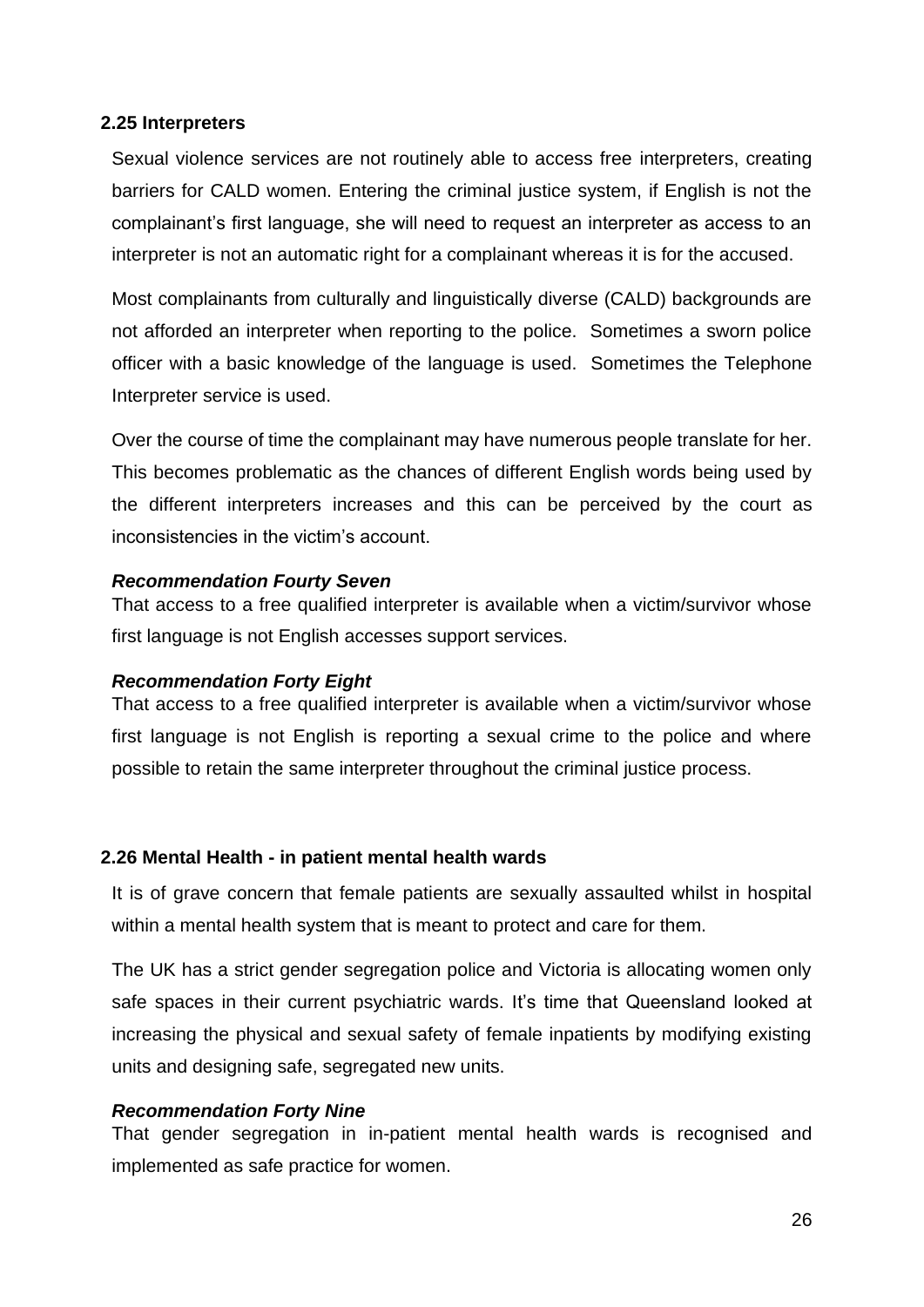## **2.25 Interpreters**

Sexual violence services are not routinely able to access free interpreters, creating barriers for CALD women. Entering the criminal justice system, if English is not the complainant's first language, she will need to request an interpreter as access to an interpreter is not an automatic right for a complainant whereas it is for the accused.

Most complainants from culturally and linguistically diverse (CALD) backgrounds are not afforded an interpreter when reporting to the police. Sometimes a sworn police officer with a basic knowledge of the language is used. Sometimes the Telephone Interpreter service is used.

Over the course of time the complainant may have numerous people translate for her. This becomes problematic as the chances of different English words being used by the different interpreters increases and this can be perceived by the court as inconsistencies in the victim's account.

## *Recommendation Fourty Seven*

That access to a free qualified interpreter is available when a victim/survivor whose first language is not English accesses support services.

## *Recommendation Forty Eight*

That access to a free qualified interpreter is available when a victim/survivor whose first language is not English is reporting a sexual crime to the police and where possible to retain the same interpreter throughout the criminal justice process.

## **2.26 Mental Health - in patient mental health wards**

It is of grave concern that female patients are sexually assaulted whilst in hospital within a mental health system that is meant to protect and care for them.

The UK has a strict gender segregation police and Victoria is allocating women only safe spaces in their current psychiatric wards. It's time that Queensland looked at increasing the physical and sexual safety of female inpatients by modifying existing units and designing safe, segregated new units.

#### *Recommendation Forty Nine*

That gender segregation in in-patient mental health wards is recognised and implemented as safe practice for women.